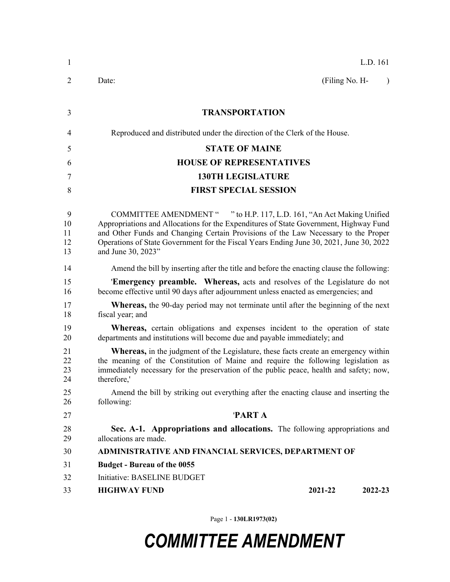| 1                         | L.D. 161                                                                                                                                                                                                                                                                                                                                                              |
|---------------------------|-----------------------------------------------------------------------------------------------------------------------------------------------------------------------------------------------------------------------------------------------------------------------------------------------------------------------------------------------------------------------|
| $\overline{2}$            | Date:<br>(Filing No. H-<br>$\lambda$                                                                                                                                                                                                                                                                                                                                  |
| 3                         | <b>TRANSPORTATION</b>                                                                                                                                                                                                                                                                                                                                                 |
| $\overline{4}$            | Reproduced and distributed under the direction of the Clerk of the House.                                                                                                                                                                                                                                                                                             |
| 5                         | <b>STATE OF MAINE</b>                                                                                                                                                                                                                                                                                                                                                 |
| 6                         | <b>HOUSE OF REPRESENTATIVES</b>                                                                                                                                                                                                                                                                                                                                       |
| 7                         | <b>130TH LEGISLATURE</b>                                                                                                                                                                                                                                                                                                                                              |
| 8                         | <b>FIRST SPECIAL SESSION</b>                                                                                                                                                                                                                                                                                                                                          |
| 9<br>10<br>11<br>12<br>13 | COMMITTEE AMENDMENT " " to H.P. 117, L.D. 161, "An Act Making Unified<br>Appropriations and Allocations for the Expenditures of State Government, Highway Fund<br>and Other Funds and Changing Certain Provisions of the Law Necessary to the Proper<br>Operations of State Government for the Fiscal Years Ending June 30, 2021, June 30, 2022<br>and June 30, 2023" |
| 14                        | Amend the bill by inserting after the title and before the enacting clause the following:                                                                                                                                                                                                                                                                             |
| 15<br>16                  | <b>Emergency preamble.</b> Whereas, acts and resolves of the Legislature do not<br>become effective until 90 days after adjournment unless enacted as emergencies; and                                                                                                                                                                                                |
| 17<br>18                  | <b>Whereas,</b> the 90-day period may not terminate until after the beginning of the next<br>fiscal year; and                                                                                                                                                                                                                                                         |
| 19<br>20                  | <b>Whereas,</b> certain obligations and expenses incident to the operation of state<br>departments and institutions will become due and payable immediately; and                                                                                                                                                                                                      |
| 21<br>22<br>23<br>24      | <b>Whereas,</b> in the judgment of the Legislature, these facts create an emergency within<br>the meaning of the Constitution of Maine and require the following legislation as<br>immediately necessary for the preservation of the public peace, health and safety; now,<br>therefore,'                                                                             |
| 25<br>26                  | Amend the bill by striking out everything after the enacting clause and inserting the<br>following:                                                                                                                                                                                                                                                                   |
| 27                        | 'PART A                                                                                                                                                                                                                                                                                                                                                               |
| 28<br>29                  | Sec. A-1. Appropriations and allocations. The following appropriations and<br>allocations are made.                                                                                                                                                                                                                                                                   |
| 30                        | ADMINISTRATIVE AND FINANCIAL SERVICES, DEPARTMENT OF                                                                                                                                                                                                                                                                                                                  |
| 31                        | <b>Budget - Bureau of the 0055</b>                                                                                                                                                                                                                                                                                                                                    |
| 32                        | Initiative: BASELINE BUDGET                                                                                                                                                                                                                                                                                                                                           |
| 33                        | <b>HIGHWAY FUND</b><br>2021-22<br>2022-23                                                                                                                                                                                                                                                                                                                             |

Page 1 - **130LR1973(02)**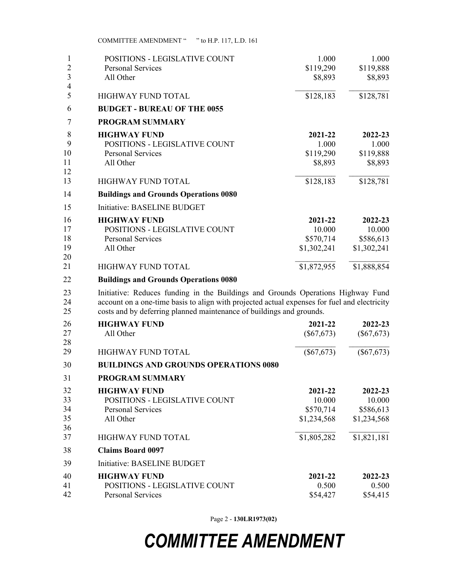| 1<br>$\overline{2}$<br>3   | POSITIONS - LEGISLATIVE COUNT<br><b>Personal Services</b><br>All Other                                                                                                                                                                                   | 1.000<br>\$119,290<br>\$8,893                 | 1.000<br>\$119,888<br>\$8,893                 |
|----------------------------|----------------------------------------------------------------------------------------------------------------------------------------------------------------------------------------------------------------------------------------------------------|-----------------------------------------------|-----------------------------------------------|
| $\overline{4}$<br>5        | <b>HIGHWAY FUND TOTAL</b>                                                                                                                                                                                                                                | \$128,183                                     | \$128,781                                     |
| 6                          | <b>BUDGET - BUREAU OF THE 0055</b>                                                                                                                                                                                                                       |                                               |                                               |
| 7                          | <b>PROGRAM SUMMARY</b>                                                                                                                                                                                                                                   |                                               |                                               |
| 8<br>9<br>10<br>11<br>12   | <b>HIGHWAY FUND</b><br>POSITIONS - LEGISLATIVE COUNT<br><b>Personal Services</b><br>All Other                                                                                                                                                            | 2021-22<br>1.000<br>\$119,290<br>\$8,893      | 2022-23<br>1.000<br>\$119,888<br>\$8,893      |
| 13                         | <b>HIGHWAY FUND TOTAL</b>                                                                                                                                                                                                                                | \$128,183                                     | \$128,781                                     |
| 14                         | <b>Buildings and Grounds Operations 0080</b>                                                                                                                                                                                                             |                                               |                                               |
| 15                         | Initiative: BASELINE BUDGET                                                                                                                                                                                                                              |                                               |                                               |
| 16<br>17<br>18<br>19<br>20 | <b>HIGHWAY FUND</b><br>POSITIONS - LEGISLATIVE COUNT<br><b>Personal Services</b><br>All Other                                                                                                                                                            | 2021-22<br>10.000<br>\$570,714<br>\$1,302,241 | 2022-23<br>10.000<br>\$586,613<br>\$1,302,241 |
| 21                         | <b>HIGHWAY FUND TOTAL</b>                                                                                                                                                                                                                                | \$1,872,955                                   | \$1,888,854                                   |
| 22                         | <b>Buildings and Grounds Operations 0080</b>                                                                                                                                                                                                             |                                               |                                               |
| 23<br>24<br>25             | Initiative: Reduces funding in the Buildings and Grounds Operations Highway Fund<br>account on a one-time basis to align with projected actual expenses for fuel and electricity<br>costs and by deferring planned maintenance of buildings and grounds. |                                               |                                               |
| 26<br>27<br>28             | <b>HIGHWAY FUND</b><br>All Other                                                                                                                                                                                                                         | 2021-22<br>$(\$67,673)$                       | 2022-23<br>$(\$67,673)$                       |
| 29                         | <b>HIGHWAY FUND TOTAL</b>                                                                                                                                                                                                                                | $(\$67,673)$                                  | $(\$67,673)$                                  |
| 30                         | <b>BUILDINGS AND GROUNDS OPERATIONS 0080</b>                                                                                                                                                                                                             |                                               |                                               |
| 31                         | PROGRAM SUMMARY                                                                                                                                                                                                                                          |                                               |                                               |
| 32<br>33<br>34<br>35<br>36 | <b>HIGHWAY FUND</b><br>POSITIONS - LEGISLATIVE COUNT<br><b>Personal Services</b><br>All Other                                                                                                                                                            | 2021-22<br>10.000<br>\$570,714<br>\$1,234,568 | 2022-23<br>10.000<br>\$586,613<br>\$1,234,568 |
| 37                         | <b>HIGHWAY FUND TOTAL</b>                                                                                                                                                                                                                                | \$1,805,282                                   | $\overline{$1,821,181}$                       |
| 38                         | <b>Claims Board 0097</b>                                                                                                                                                                                                                                 |                                               |                                               |
| 39                         | Initiative: BASELINE BUDGET                                                                                                                                                                                                                              |                                               |                                               |
| 40<br>41<br>42             | <b>HIGHWAY FUND</b><br>POSITIONS - LEGISLATIVE COUNT<br><b>Personal Services</b>                                                                                                                                                                         | 2021-22<br>0.500<br>\$54,427                  | 2022-23<br>0.500<br>\$54,415                  |

Page 2 - **130LR1973(02)**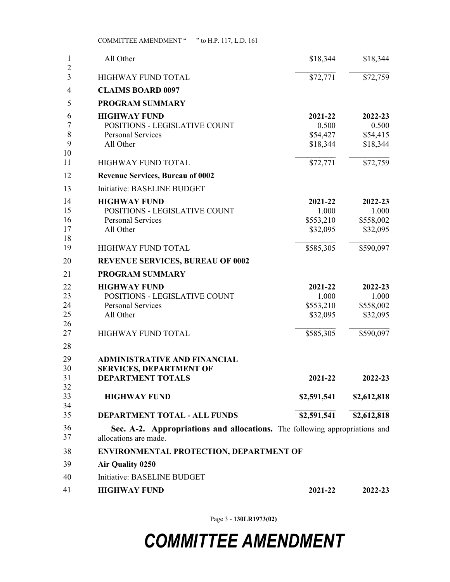| $\mathbf{1}$<br>$\overline{c}$ | All Other                                                                                           | \$18,344    | \$18,344    |
|--------------------------------|-----------------------------------------------------------------------------------------------------|-------------|-------------|
| $\overline{3}$                 | <b>HIGHWAY FUND TOTAL</b>                                                                           | \$72,771    | \$72,759    |
| $\overline{4}$                 | <b>CLAIMS BOARD 0097</b>                                                                            |             |             |
| 5                              | <b>PROGRAM SUMMARY</b>                                                                              |             |             |
| 6                              | <b>HIGHWAY FUND</b>                                                                                 | 2021-22     | 2022-23     |
| 7                              | POSITIONS - LEGISLATIVE COUNT                                                                       | 0.500       | 0.500       |
| $\,$ 8 $\,$                    | <b>Personal Services</b>                                                                            | \$54,427    | \$54,415    |
| 9                              | All Other                                                                                           | \$18,344    | \$18,344    |
| 10                             |                                                                                                     |             |             |
| 11                             | HIGHWAY FUND TOTAL                                                                                  | \$72,771    | \$72,759    |
| 12                             | <b>Revenue Services, Bureau of 0002</b>                                                             |             |             |
| 13                             | Initiative: BASELINE BUDGET                                                                         |             |             |
| 14                             | <b>HIGHWAY FUND</b>                                                                                 | 2021-22     | 2022-23     |
| 15                             | POSITIONS - LEGISLATIVE COUNT                                                                       | 1.000       | 1.000       |
| 16                             | <b>Personal Services</b>                                                                            | \$553,210   | \$558,002   |
| 17                             | All Other                                                                                           | \$32,095    | \$32,095    |
| 18                             |                                                                                                     |             |             |
| 19                             | <b>HIGHWAY FUND TOTAL</b>                                                                           | \$585,305   | \$590,097   |
| 20                             | <b>REVENUE SERVICES, BUREAU OF 0002</b>                                                             |             |             |
| 21                             | <b>PROGRAM SUMMARY</b>                                                                              |             |             |
| 22                             | <b>HIGHWAY FUND</b>                                                                                 | 2021-22     | 2022-23     |
| 23                             | POSITIONS - LEGISLATIVE COUNT                                                                       | 1.000       | 1.000       |
| 24                             | <b>Personal Services</b>                                                                            | \$553,210   | \$558,002   |
| 25                             | All Other                                                                                           | \$32,095    | \$32,095    |
| 26                             |                                                                                                     |             |             |
| 27                             | HIGHWAY FUND TOTAL                                                                                  | \$585,305   | \$590,097   |
| 28                             |                                                                                                     |             |             |
| 29                             | <b>ADMINISTRATIVE AND FINANCIAL</b>                                                                 |             |             |
| 30                             | <b>SERVICES, DEPARTMENT OF</b>                                                                      |             |             |
| 31                             | <b>DEPARTMENT TOTALS</b>                                                                            | 2021-22     | 2022-23     |
| 32                             |                                                                                                     |             |             |
| 33                             | <b>HIGHWAY FUND</b>                                                                                 | \$2,591,541 | \$2,612,818 |
| 34                             |                                                                                                     |             |             |
| 35                             | DEPARTMENT TOTAL - ALL FUNDS                                                                        | \$2,591,541 | \$2,612,818 |
| 36<br>37                       | Sec. A-2. Appropriations and allocations. The following appropriations and<br>allocations are made. |             |             |
| 38                             | <b>ENVIRONMENTAL PROTECTION, DEPARTMENT OF</b>                                                      |             |             |
| 39                             | Air Quality 0250                                                                                    |             |             |
| 40                             | Initiative: BASELINE BUDGET                                                                         |             |             |
| 41                             | <b>HIGHWAY FUND</b>                                                                                 | 2021-22     | 2022-23     |

Page 3 - **130LR1973(02)**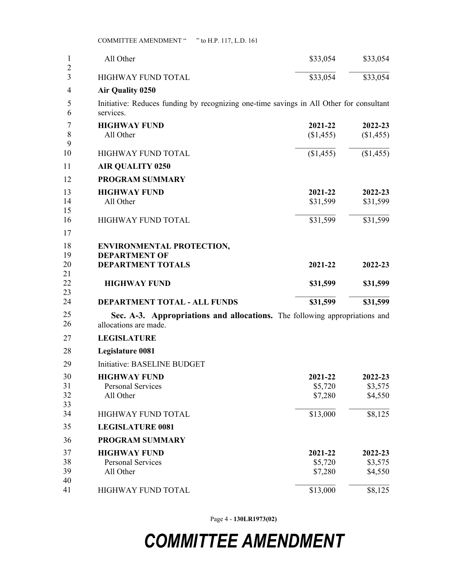| All Other                                                                                            | \$33,054  | \$33,054  |
|------------------------------------------------------------------------------------------------------|-----------|-----------|
| <b>HIGHWAY FUND TOTAL</b>                                                                            | \$33,054  | \$33,054  |
| <b>Air Quality 0250</b>                                                                              |           |           |
| Initiative: Reduces funding by recognizing one-time savings in All Other for consultant<br>services. |           |           |
| <b>HIGHWAY FUND</b>                                                                                  | 2021-22   | 2022-23   |
| All Other                                                                                            | (\$1,455) | \$1,455   |
| <b>HIGHWAY FUND TOTAL</b>                                                                            | (\$1,455) | (\$1,455) |
| <b>AIR QUALITY 0250</b>                                                                              |           |           |
| <b>PROGRAM SUMMARY</b>                                                                               |           |           |
| <b>HIGHWAY FUND</b>                                                                                  | 2021-22   | 2022-23   |
| All Other                                                                                            | \$31,599  | \$31,599  |
| <b>HIGHWAY FUND TOTAL</b>                                                                            | \$31,599  | \$31,599  |
|                                                                                                      |           |           |
| <b>ENVIRONMENTAL PROTECTION,</b><br><b>DEPARTMENT OF</b>                                             |           |           |
| <b>DEPARTMENT TOTALS</b>                                                                             | 2021-22   | 2022-23   |
| <b>HIGHWAY FUND</b>                                                                                  | \$31,599  | \$31,599  |
| <b>DEPARTMENT TOTAL - ALL FUNDS</b>                                                                  | \$31,599  | \$31,599  |
| Sec. A-3. Appropriations and allocations. The following appropriations and<br>allocations are made.  |           |           |
| <b>LEGISLATURE</b>                                                                                   |           |           |
| Legislature 0081                                                                                     |           |           |
| Initiative: BASELINE BUDGET                                                                          |           |           |
| <b>HIGHWAY FUND</b>                                                                                  | 2021-22   | 2022-23   |
| <b>Personal Services</b>                                                                             | \$5,720   | \$3,575   |
| All Other                                                                                            | \$7,280   | \$4,550   |
| <b>HIGHWAY FUND TOTAL</b>                                                                            | \$13,000  | \$8,125   |
| <b>LEGISLATURE 0081</b>                                                                              |           |           |
| <b>PROGRAM SUMMARY</b>                                                                               |           |           |
| <b>HIGHWAY FUND</b>                                                                                  | 2021-22   | 2022-23   |
| <b>Personal Services</b>                                                                             | \$5,720   | \$3,575   |
| All Other                                                                                            | \$7,280   | \$4,550   |
|                                                                                                      |           |           |
| HIGHWAY FUND TOTAL                                                                                   | \$13,000  | \$8,125   |

Page 4 - **130LR1973(02)**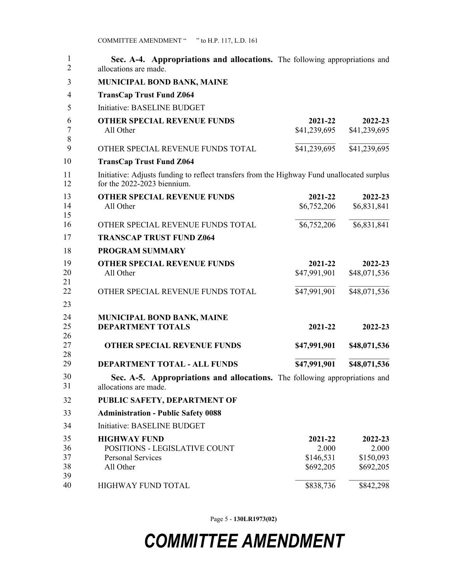| Sec. A-4. Appropriations and allocations. The following appropriations and<br>allocations are made.                         |                             |                         |
|-----------------------------------------------------------------------------------------------------------------------------|-----------------------------|-------------------------|
| MUNICIPAL BOND BANK, MAINE                                                                                                  |                             |                         |
| <b>TransCap Trust Fund Z064</b>                                                                                             |                             |                         |
| Initiative: BASELINE BUDGET                                                                                                 |                             |                         |
| <b>OTHER SPECIAL REVENUE FUNDS</b>                                                                                          | 2021-22                     | 2022-23                 |
| All Other                                                                                                                   | \$41,239,695                | \$41,239,695            |
| OTHER SPECIAL REVENUE FUNDS TOTAL                                                                                           | \$41,239,695                | \$41,239,695            |
| <b>TransCap Trust Fund Z064</b>                                                                                             |                             |                         |
| Initiative: Adjusts funding to reflect transfers from the Highway Fund unallocated surplus<br>for the $2022-2023$ biennium. |                             |                         |
| <b>OTHER SPECIAL REVENUE FUNDS</b>                                                                                          | 2021-22                     | 2022-23                 |
| All Other                                                                                                                   | \$6,752,206                 | \$6,831,841             |
| OTHER SPECIAL REVENUE FUNDS TOTAL                                                                                           | \$6,752,206                 | \$6,831,841             |
| <b>TRANSCAP TRUST FUND Z064</b>                                                                                             |                             |                         |
| <b>PROGRAM SUMMARY</b>                                                                                                      |                             |                         |
| <b>OTHER SPECIAL REVENUE FUNDS</b><br>All Other                                                                             | $2021 - 22$<br>\$47,991,901 | 2022-23<br>\$48,071,536 |
| OTHER SPECIAL REVENUE FUNDS TOTAL                                                                                           | \$47,991,901                | \$48,071,536            |
| MUNICIPAL BOND BANK, MAINE<br><b>DEPARTMENT TOTALS</b>                                                                      | 2021-22                     | 2022-23                 |
| <b>OTHER SPECIAL REVENUE FUNDS</b>                                                                                          | \$47,991,901                | \$48,071,536            |
| DEPARTMENT TOTAL - ALL FUNDS                                                                                                | \$47,991,901                | \$48,071,536            |
| Sec. A-5. Appropriations and allocations. The following appropriations and<br>allocations are made.                         |                             |                         |
| PUBLIC SAFETY, DEPARTMENT OF                                                                                                |                             |                         |
| <b>Administration - Public Safety 0088</b>                                                                                  |                             |                         |
| Initiative: BASELINE BUDGET                                                                                                 |                             |                         |
| <b>HIGHWAY FUND</b>                                                                                                         | 2021-22                     | 2022-23                 |
| POSITIONS - LEGISLATIVE COUNT                                                                                               | 2.000                       | 2.000                   |
| <b>Personal Services</b><br>All Other                                                                                       | \$146,531<br>\$692,205      | \$150,093<br>\$692,205  |
|                                                                                                                             |                             |                         |
| HIGHWAY FUND TOTAL                                                                                                          | \$838,736                   | \$842,298               |

Page 5 - **130LR1973(02)**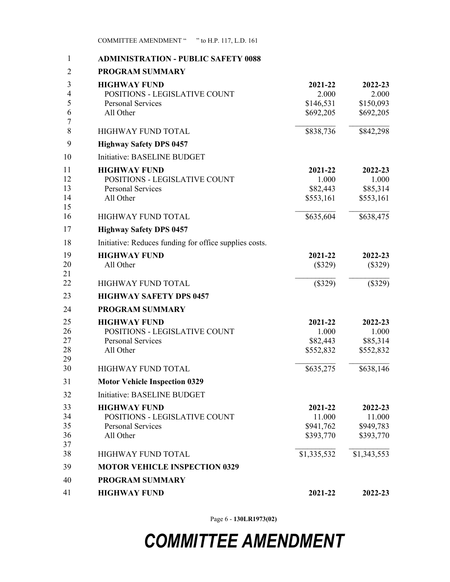| 1                                | <b>ADMINISTRATION - PUBLIC SAFETY 0088</b>                                                                          |                                                        |                                                        |
|----------------------------------|---------------------------------------------------------------------------------------------------------------------|--------------------------------------------------------|--------------------------------------------------------|
| $\overline{2}$                   | <b>PROGRAM SUMMARY</b>                                                                                              |                                                        |                                                        |
| 3<br>$\overline{4}$<br>5<br>6    | <b>HIGHWAY FUND</b><br>POSITIONS - LEGISLATIVE COUNT<br>Personal Services<br>All Other                              | 2021-22<br>2.000<br>\$146,531<br>\$692,205             | 2022-23<br>2.000<br>\$150,093<br>\$692,205             |
| 7<br>8                           | <b>HIGHWAY FUND TOTAL</b>                                                                                           | \$838,736                                              | \$842,298                                              |
| 9                                | <b>Highway Safety DPS 0457</b>                                                                                      |                                                        |                                                        |
| 10                               | Initiative: BASELINE BUDGET                                                                                         |                                                        |                                                        |
| 11<br>12<br>13<br>14<br>15       | <b>HIGHWAY FUND</b><br>POSITIONS - LEGISLATIVE COUNT<br><b>Personal Services</b><br>All Other                       | 2021-22<br>1.000<br>\$82,443<br>\$553,161              | 2022-23<br>1.000<br>\$85,314<br>\$553,161              |
| 16                               | HIGHWAY FUND TOTAL                                                                                                  | \$635,604                                              | \$638,475                                              |
| 17                               | <b>Highway Safety DPS 0457</b>                                                                                      |                                                        |                                                        |
| 18                               | Initiative: Reduces funding for office supplies costs.                                                              |                                                        |                                                        |
| 19<br>20<br>21                   | <b>HIGHWAY FUND</b><br>All Other                                                                                    | 2021-22<br>$(\$329)$                                   | 2022-23<br>$(\$329)$                                   |
| 22                               | <b>HIGHWAY FUND TOTAL</b>                                                                                           | (\$329)                                                | $(\$329)$                                              |
| 23                               | <b>HIGHWAY SAFETY DPS 0457</b>                                                                                      |                                                        |                                                        |
| 24                               | <b>PROGRAM SUMMARY</b>                                                                                              |                                                        |                                                        |
| 25<br>26<br>27<br>28<br>29<br>30 | <b>HIGHWAY FUND</b><br>POSITIONS - LEGISLATIVE COUNT<br>Personal Services<br>All Other<br><b>HIGHWAY FUND TOTAL</b> | 2021-22<br>1.000<br>\$82,443<br>\$552,832<br>\$635,275 | 2022-23<br>1.000<br>\$85,314<br>\$552,832<br>\$638,146 |
| 31                               | <b>Motor Vehicle Inspection 0329</b>                                                                                |                                                        |                                                        |
| 32                               | Initiative: BASELINE BUDGET                                                                                         |                                                        |                                                        |
| 33<br>34<br>35<br>36<br>37       | <b>HIGHWAY FUND</b><br>POSITIONS - LEGISLATIVE COUNT<br><b>Personal Services</b><br>All Other                       | 2021-22<br>11.000<br>\$941,762<br>\$393,770            | 2022-23<br>11.000<br>\$949,783<br>\$393,770            |
| 38                               | <b>HIGHWAY FUND TOTAL</b>                                                                                           | \$1,335,532                                            | \$1,343,553                                            |
| 39                               | <b>MOTOR VEHICLE INSPECTION 0329</b>                                                                                |                                                        |                                                        |
| 40                               | <b>PROGRAM SUMMARY</b>                                                                                              |                                                        |                                                        |
| 41                               | <b>HIGHWAY FUND</b>                                                                                                 | 2021-22                                                | 2022-23                                                |

Page 6 - **130LR1973(02)**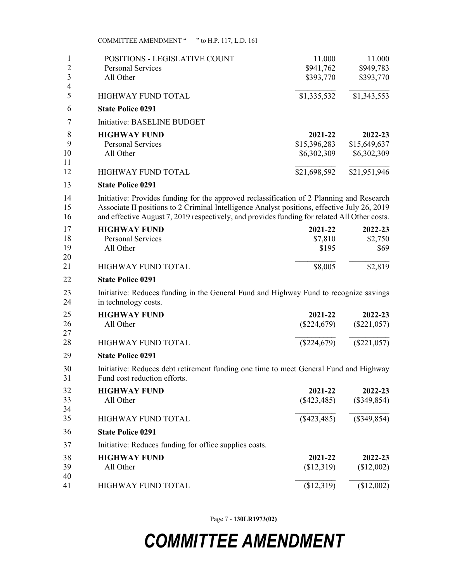| $\mathbf{1}$        | POSITIONS - LEGISLATIVE COUNT                                                                                                                                                                                                                                                             | 11.000        | 11.000        |
|---------------------|-------------------------------------------------------------------------------------------------------------------------------------------------------------------------------------------------------------------------------------------------------------------------------------------|---------------|---------------|
| $\overline{2}$      | Personal Services                                                                                                                                                                                                                                                                         | \$941,762     | \$949,783     |
| 3                   | All Other                                                                                                                                                                                                                                                                                 | \$393,770     | \$393,770     |
| $\overline{4}$<br>5 | HIGHWAY FUND TOTAL                                                                                                                                                                                                                                                                        | \$1,335,532   | \$1,343,553   |
| 6                   | <b>State Police 0291</b>                                                                                                                                                                                                                                                                  |               |               |
| 7                   | Initiative: BASELINE BUDGET                                                                                                                                                                                                                                                               |               |               |
| 8                   | <b>HIGHWAY FUND</b>                                                                                                                                                                                                                                                                       | 2021-22       | 2022-23       |
| 9                   | <b>Personal Services</b>                                                                                                                                                                                                                                                                  | \$15,396,283  | \$15,649,637  |
| 10                  | All Other                                                                                                                                                                                                                                                                                 | \$6,302,309   | \$6,302,309   |
| 11<br>12            | <b>HIGHWAY FUND TOTAL</b>                                                                                                                                                                                                                                                                 | \$21,698,592  | \$21,951,946  |
| 13                  | <b>State Police 0291</b>                                                                                                                                                                                                                                                                  |               |               |
| 14<br>15<br>16      | Initiative: Provides funding for the approved reclassification of 2 Planning and Research<br>Associate II positions to 2 Criminal Intelligence Analyst positions, effective July 26, 2019<br>and effective August 7, 2019 respectively, and provides funding for related All Other costs. |               |               |
| 17                  | <b>HIGHWAY FUND</b>                                                                                                                                                                                                                                                                       | 2021-22       | 2022-23       |
| 18                  | <b>Personal Services</b>                                                                                                                                                                                                                                                                  | \$7,810       | \$2,750       |
| 19                  | All Other                                                                                                                                                                                                                                                                                 | \$195         | \$69          |
| 20<br>21            | <b>HIGHWAY FUND TOTAL</b>                                                                                                                                                                                                                                                                 | \$8,005       | \$2,819       |
| 22                  | <b>State Police 0291</b>                                                                                                                                                                                                                                                                  |               |               |
| 23<br>24            | Initiative: Reduces funding in the General Fund and Highway Fund to recognize savings<br>in technology costs.                                                                                                                                                                             |               |               |
| 25                  | <b>HIGHWAY FUND</b>                                                                                                                                                                                                                                                                       | 2021-22       | 2022-23       |
| 26<br>27            | All Other                                                                                                                                                                                                                                                                                 | $(\$224,679)$ | $(\$221,057)$ |
| 28                  | HIGHWAY FUND TOTAL                                                                                                                                                                                                                                                                        | $(\$224,679)$ | $(\$221,057)$ |
| 29                  | <b>State Police 0291</b>                                                                                                                                                                                                                                                                  |               |               |
| 30<br>31            | Initiative: Reduces debt retirement funding one time to meet General Fund and Highway<br>Fund cost reduction efforts.                                                                                                                                                                     |               |               |
| 32                  | <b>HIGHWAY FUND</b>                                                                                                                                                                                                                                                                       | 2021-22       | 2022-23       |
| 33                  | All Other                                                                                                                                                                                                                                                                                 | (\$423,485)   | $(\$349,854)$ |
| 34                  |                                                                                                                                                                                                                                                                                           |               |               |
| 35                  | HIGHWAY FUND TOTAL                                                                                                                                                                                                                                                                        | $(\$423,485)$ | $(\$349,854)$ |
| 36                  | <b>State Police 0291</b>                                                                                                                                                                                                                                                                  |               |               |
| 37                  | Initiative: Reduces funding for office supplies costs.                                                                                                                                                                                                                                    |               |               |
| 38                  | <b>HIGHWAY FUND</b>                                                                                                                                                                                                                                                                       | 2021-22       | 2022-23       |
| 39<br>40            | All Other                                                                                                                                                                                                                                                                                 | (\$12,319)    | (\$12,002)    |
| 41                  | HIGHWAY FUND TOTAL                                                                                                                                                                                                                                                                        | (\$12,319)    | (\$12,002)    |

Page 7 - **130LR1973(02)**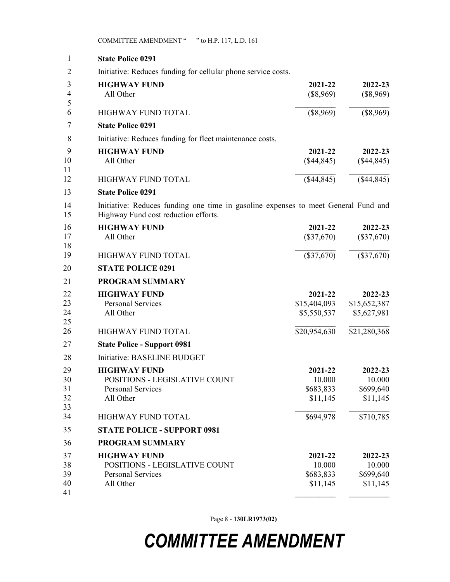| 1        | <b>State Police 0291</b>                                                                                                   |              |              |
|----------|----------------------------------------------------------------------------------------------------------------------------|--------------|--------------|
| 2        | Initiative: Reduces funding for cellular phone service costs.                                                              |              |              |
| 3        | <b>HIGHWAY FUND</b>                                                                                                        | 2021-22      | 2022-23      |
| 4        | All Other                                                                                                                  | $(\$8,969)$  | $(\$8,969)$  |
| 5<br>6   | <b>HIGHWAY FUND TOTAL</b>                                                                                                  | (\$8,969)    | (\$8,969)    |
| 7        | <b>State Police 0291</b>                                                                                                   |              |              |
| 8        | Initiative: Reduces funding for fleet maintenance costs.                                                                   |              |              |
| 9        | <b>HIGHWAY FUND</b>                                                                                                        | 2021-22      | 2022-23      |
| 10       | All Other                                                                                                                  | (\$44,845)   | (\$44,845)   |
| 11<br>12 | <b>HIGHWAY FUND TOTAL</b>                                                                                                  | (\$44,845)   | (\$44,845)   |
| 13       | <b>State Police 0291</b>                                                                                                   |              |              |
| 14<br>15 | Initiative: Reduces funding one time in gasoline expenses to meet General Fund and<br>Highway Fund cost reduction efforts. |              |              |
| 16       | <b>HIGHWAY FUND</b>                                                                                                        | 2021-22      | 2022-23      |
| 17       | All Other                                                                                                                  | $(\$37,670)$ | $(\$37,670)$ |
| 18<br>19 | <b>HIGHWAY FUND TOTAL</b>                                                                                                  | $(\$37,670)$ | (\$37,670)   |
| 20       | <b>STATE POLICE 0291</b>                                                                                                   |              |              |
| 21       | <b>PROGRAM SUMMARY</b>                                                                                                     |              |              |
| 22       | <b>HIGHWAY FUND</b>                                                                                                        | 2021-22      | 2022-23      |
| 23       | <b>Personal Services</b>                                                                                                   | \$15,404,093 | \$15,652,387 |
| 24       | All Other                                                                                                                  | \$5,550,537  | \$5,627,981  |
| 25<br>26 | <b>HIGHWAY FUND TOTAL</b>                                                                                                  | \$20,954,630 | \$21,280,368 |
| 27       | <b>State Police - Support 0981</b>                                                                                         |              |              |
| 28       | Initiative: BASELINE BUDGET                                                                                                |              |              |
| 29       | <b>HIGHWAY FUND</b>                                                                                                        | 2021-22      | 2022-23      |
| 30       | POSITIONS - LEGISLATIVE COUNT                                                                                              | 10.000       | 10.000       |
| 31       | <b>Personal Services</b>                                                                                                   | \$683,833    | \$699,640    |
| 32       | All Other                                                                                                                  | \$11,145     | \$11,145     |
| 33       |                                                                                                                            |              |              |
| 34       | HIGHWAY FUND TOTAL                                                                                                         | \$694,978    | \$710,785    |
| 35       | <b>STATE POLICE - SUPPORT 0981</b>                                                                                         |              |              |
| 36       | <b>PROGRAM SUMMARY</b>                                                                                                     |              |              |
| 37       | <b>HIGHWAY FUND</b>                                                                                                        | 2021-22      | 2022-23      |
| 38       | POSITIONS - LEGISLATIVE COUNT                                                                                              | 10.000       | 10.000       |
| 39       | Personal Services                                                                                                          | \$683,833    | \$699,640    |
| 40<br>41 | All Other                                                                                                                  | \$11,145     | \$11,145     |

Page 8 - **130LR1973(02)**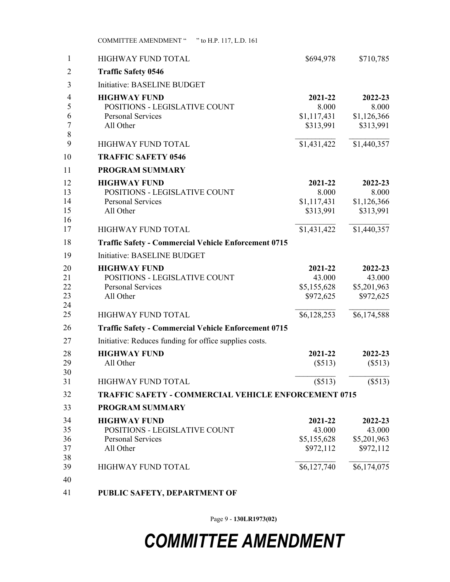|                     | COMMITTEE AMENDMENT " "to H.P. 117, L.D. 161                |                         |                  |
|---------------------|-------------------------------------------------------------|-------------------------|------------------|
| 1                   | <b>HIGHWAY FUND TOTAL</b>                                   | \$694,978               | \$710,785        |
| $\overline{2}$      | <b>Traffic Safety 0546</b>                                  |                         |                  |
| 3                   | Initiative: BASELINE BUDGET                                 |                         |                  |
| $\overline{4}$<br>5 | <b>HIGHWAY FUND</b><br>POSITIONS - LEGISLATIVE COUNT        | 2021-22<br>8.000        | 2022-23<br>8.000 |
| 6                   | Personal Services                                           | \$1,117,431             | \$1,126,366      |
| $\tau$<br>8         | All Other                                                   | \$313,991               | \$313,991        |
| 9                   | <b>HIGHWAY FUND TOTAL</b>                                   | $\overline{$}1,431,422$ | \$1,440,357      |
| 10                  | <b>TRAFFIC SAFETY 0546</b>                                  |                         |                  |
| 11                  | <b>PROGRAM SUMMARY</b>                                      |                         |                  |
| 12                  | <b>HIGHWAY FUND</b>                                         | 2021-22                 | 2022-23          |
| 13                  | POSITIONS - LEGISLATIVE COUNT                               | 8.000                   | 8.000            |
| 14                  | Personal Services                                           | \$1,117,431             | \$1,126,366      |
| 15                  | All Other                                                   | \$313,991               | \$313,991        |
| 16<br>17            | HIGHWAY FUND TOTAL                                          | \$1,431,422             | \$1,440,357      |
| 18                  | <b>Traffic Safety - Commercial Vehicle Enforcement 0715</b> |                         |                  |
| 19                  | Initiative: BASELINE BUDGET                                 |                         |                  |
| 20                  | <b>HIGHWAY FUND</b>                                         | 2021-22                 | 2022-23          |
| 21                  | POSITIONS - LEGISLATIVE COUNT                               | 43.000                  | 43.000           |
| 22                  | Personal Services                                           | \$5,155,628             | \$5,201,963      |
| 23                  | All Other                                                   | \$972,625               | \$972,625        |
| 24<br>25            | <b>HIGHWAY FUND TOTAL</b>                                   | \$6,128,253             | \$6,174,588      |
| 26                  | <b>Traffic Safety - Commercial Vehicle Enforcement 0715</b> |                         |                  |
| 27                  | Initiative: Reduces funding for office supplies costs.      |                         |                  |
| 28                  | <b>HIGHWAY FUND</b>                                         | 2021-22                 | 2022-23          |
| 29                  | All Other                                                   | (\$513)                 | (\$513)          |
| 30                  |                                                             |                         |                  |
| 31                  | <b>HIGHWAY FUND TOTAL</b>                                   | (\$513)                 | (\$513)          |
| 32                  | <b>TRAFFIC SAFETY - COMMERCIAL VEHICLE ENFORCEMENT 0715</b> |                         |                  |
| 33                  | <b>PROGRAM SUMMARY</b>                                      |                         |                  |
| 34                  | <b>HIGHWAY FUND</b>                                         | 2021-22                 | 2022-23          |
| 35                  | POSITIONS - LEGISLATIVE COUNT                               | 43.000                  | 43.000           |
| 36                  | <b>Personal Services</b>                                    | \$5,155,628             | \$5,201,963      |
| 37                  | All Other                                                   | \$972,112               | \$972,112        |
| 38<br>39            | <b>HIGHWAY FUND TOTAL</b>                                   | \$6,127,740             | \$6,174,075      |
| 40                  |                                                             |                         |                  |
| 41                  | PUBLIC SAFETY, DEPARTMENT OF                                |                         |                  |
|                     |                                                             |                         |                  |

Page 9 - **130LR1973(02)**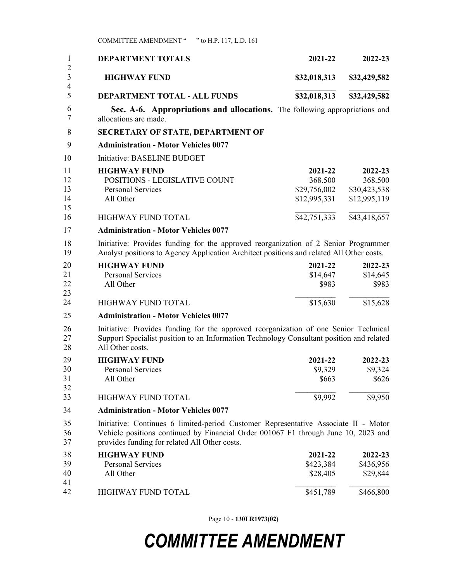| 1                          | <b>DEPARTMENT TOTALS</b>                                                                                                                                                                                                   | 2021-22                                            | 2022-23                                            |
|----------------------------|----------------------------------------------------------------------------------------------------------------------------------------------------------------------------------------------------------------------------|----------------------------------------------------|----------------------------------------------------|
| 2<br>3<br>$\overline{4}$   | <b>HIGHWAY FUND</b>                                                                                                                                                                                                        | \$32,018,313                                       | \$32,429,582                                       |
| 5                          | <b>DEPARTMENT TOTAL - ALL FUNDS</b>                                                                                                                                                                                        | \$32,018,313                                       | \$32,429,582                                       |
| 6<br>7                     | Sec. A-6. Appropriations and allocations. The following appropriations and<br>allocations are made.                                                                                                                        |                                                    |                                                    |
| 8                          | <b>SECRETARY OF STATE, DEPARTMENT OF</b>                                                                                                                                                                                   |                                                    |                                                    |
| 9                          | <b>Administration - Motor Vehicles 0077</b>                                                                                                                                                                                |                                                    |                                                    |
| 10                         | Initiative: BASELINE BUDGET                                                                                                                                                                                                |                                                    |                                                    |
| 11<br>12<br>13<br>14<br>15 | <b>HIGHWAY FUND</b><br>POSITIONS - LEGISLATIVE COUNT<br><b>Personal Services</b><br>All Other                                                                                                                              | 2021-22<br>368.500<br>\$29,756,002<br>\$12,995,331 | 2022-23<br>368.500<br>\$30,423,538<br>\$12,995,119 |
| 16                         | <b>HIGHWAY FUND TOTAL</b>                                                                                                                                                                                                  | \$42,751,333                                       | \$43,418,657                                       |
| 17                         | <b>Administration - Motor Vehicles 0077</b>                                                                                                                                                                                |                                                    |                                                    |
| 18<br>19                   | Initiative: Provides funding for the approved reorganization of 2 Senior Programmer<br>Analyst positions to Agency Application Architect positions and related All Other costs.                                            |                                                    |                                                    |
| 20<br>21<br>22<br>23       | <b>HIGHWAY FUND</b><br><b>Personal Services</b><br>All Other                                                                                                                                                               | 2021-22<br>\$14,647<br>\$983                       | 2022-23<br>\$14,645<br>\$983                       |
| 24                         | <b>HIGHWAY FUND TOTAL</b>                                                                                                                                                                                                  | \$15,630                                           | \$15,628                                           |
| 25                         | <b>Administration - Motor Vehicles 0077</b>                                                                                                                                                                                |                                                    |                                                    |
| 26<br>27<br>28             | Initiative: Provides funding for the approved reorganization of one Senior Technical<br>Support Specialist position to an Information Technology Consultant position and related<br>All Other costs.                       |                                                    |                                                    |
| 29<br>30<br>31<br>32       | <b>HIGHWAY FUND</b><br><b>Personal Services</b><br>All Other                                                                                                                                                               | 2021-22<br>\$9,329<br>\$663                        | 2022-23<br>\$9,324<br>\$626                        |
| 33                         | <b>HIGHWAY FUND TOTAL</b>                                                                                                                                                                                                  | \$9,992                                            | \$9,950                                            |
| 34                         | <b>Administration - Motor Vehicles 0077</b>                                                                                                                                                                                |                                                    |                                                    |
| 35<br>36<br>37             | Initiative: Continues 6 limited-period Customer Representative Associate II - Motor<br>Vehicle positions continued by Financial Order 001067 F1 through June 10, 2023 and<br>provides funding for related All Other costs. |                                                    |                                                    |
| 38<br>39<br>40<br>41       | <b>HIGHWAY FUND</b><br><b>Personal Services</b><br>All Other                                                                                                                                                               | 2021-22<br>\$423,384<br>\$28,405                   | 2022-23<br>\$436,956<br>\$29,844                   |
| 42                         | <b>HIGHWAY FUND TOTAL</b>                                                                                                                                                                                                  | \$451,789                                          | \$466,800                                          |

Page 10 - **130LR1973(02)**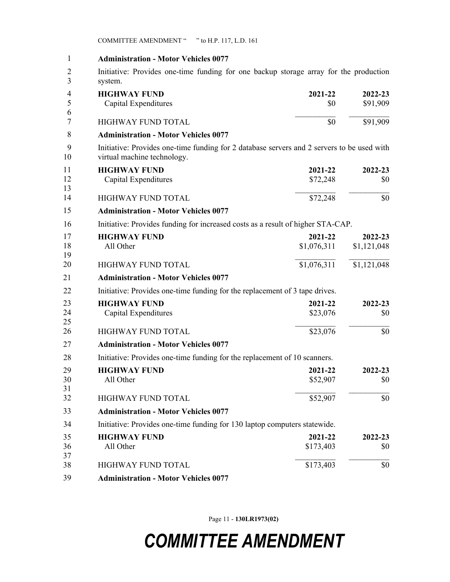|                          | COMMITTEE AMENDMENT " " to H.P. 117, L.D. 161                                                                             |                     |                     |
|--------------------------|---------------------------------------------------------------------------------------------------------------------------|---------------------|---------------------|
| 1                        | <b>Administration - Motor Vehicles 0077</b>                                                                               |                     |                     |
| $\overline{2}$<br>3      | Initiative: Provides one-time funding for one backup storage array for the production<br>system.                          |                     |                     |
| $\overline{4}$<br>5<br>6 | <b>HIGHWAY FUND</b><br>Capital Expenditures                                                                               | 2021-22<br>\$0      | 2022-23<br>\$91,909 |
| 7                        | HIGHWAY FUND TOTAL                                                                                                        | \$0                 | \$91,909            |
| 8                        | <b>Administration - Motor Vehicles 0077</b>                                                                               |                     |                     |
| 9<br>10                  | Initiative: Provides one-time funding for 2 database servers and 2 servers to be used with<br>virtual machine technology. |                     |                     |
| 11<br>12<br>13           | <b>HIGHWAY FUND</b><br>Capital Expenditures                                                                               | 2021-22<br>\$72,248 | 2022-23<br>\$0      |
| 14                       | <b>HIGHWAY FUND TOTAL</b>                                                                                                 | \$72,248            | \$0                 |
| 15                       | <b>Administration - Motor Vehicles 0077</b>                                                                               |                     |                     |
| 16                       | Initiative: Provides funding for increased costs as a result of higher STA-CAP.                                           |                     |                     |
| 17                       | <b>HIGHWAY FUND</b>                                                                                                       | 2021-22             | 2022-23             |
| 18<br>19                 | All Other                                                                                                                 | \$1,076,311         | \$1,121,048         |
| 20                       | HIGHWAY FUND TOTAL                                                                                                        | \$1,076,311         | \$1,121,048         |
| 21                       | <b>Administration - Motor Vehicles 0077</b>                                                                               |                     |                     |
| 22                       | Initiative: Provides one-time funding for the replacement of 3 tape drives.                                               |                     |                     |
| 23                       | <b>HIGHWAY FUND</b>                                                                                                       | 2021-22             | 2022-23             |
| 24<br>25                 | Capital Expenditures                                                                                                      | \$23,076            | \$0                 |
| 26                       | HIGHWAY FUND TOTAL                                                                                                        | \$23,076            | \$0                 |
| 27                       | <b>Administration - Motor Vehicles 0077</b>                                                                               |                     |                     |
| 28                       | Initiative: Provides one-time funding for the replacement of 10 scanners.                                                 |                     |                     |
| 29                       | <b>HIGHWAY FUND</b>                                                                                                       | 2021-22             | 2022-23             |
| 30                       | All Other                                                                                                                 | \$52,907            | \$0                 |
| 31<br>32                 | HIGHWAY FUND TOTAL                                                                                                        | \$52,907            | \$0                 |
| 33                       | <b>Administration - Motor Vehicles 0077</b>                                                                               |                     |                     |
| 34                       | Initiative: Provides one-time funding for 130 laptop computers statewide.                                                 |                     |                     |
| 35                       | <b>HIGHWAY FUND</b>                                                                                                       | 2021-22             | 2022-23             |
| 36                       | All Other                                                                                                                 | \$173,403           | \$0                 |
| 37<br>38                 |                                                                                                                           |                     |                     |
|                          | HIGHWAY FUND TOTAL                                                                                                        | \$173,403           | \$0                 |
| 39                       | <b>Administration - Motor Vehicles 0077</b>                                                                               |                     |                     |

Page 11 - **130LR1973(02)**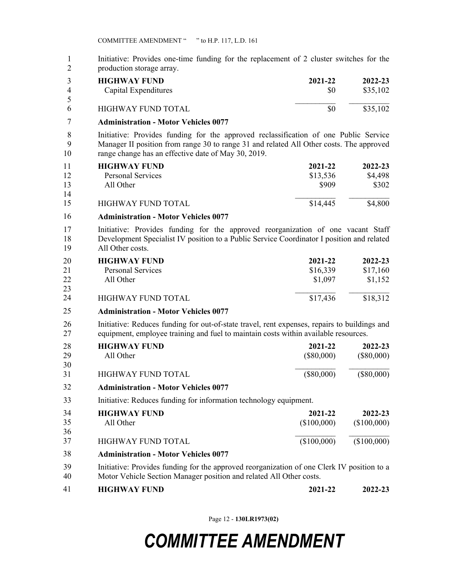1 Initiative: Provides one-time funding for the replacement of 2 cluster switches for the 2 production storage array. **HIGHWAY FUND 2021-22 2022-23** Capital Expenditures  $$80$  \$35,102  $\_$ HIGHWAY FUND TOTAL \$0 \$35,102 3 **Administration - Motor Vehicles 0077** 8 Initiative: Provides funding for the approved reclassification of one Public Service 9 Manager II position from range 30 to range 31 and related All Other costs. The approved 10 range change has an effective date of May 30, 2019. **HIGHWAY FUND 2021-22 2022-23** Personal Services  $$13,536$   $$4,498$ All Other \$909 \$302  $\mathcal{L}_\text{max}$ HIGHWAY FUND TOTAL \$14,445 \$4,800 11 **Administration - Motor Vehicles 0077** 17 Initiative: Provides funding for the approved reorganization of one vacant Staff 18 Development Specialist IV position to a Public Service Coordinator I position and related 19 All Other costs. **HIGHWAY FUND 2021-22 2022-23** Personal Services \$16,339 \$17,160 All Other \$1,097 \$1,152  $\mathcal{L}_\text{max}$ HIGHWAY FUND TOTAL \$17,436 \$18,312 20 **Administration - Motor Vehicles 0077** 26 Initiative: Reduces funding for out-of-state travel, rent expenses, repairs to buildings and 27 equipment, employee training and fuel to maintain costs within available resources. **HIGHWAY FUND 2021-22 2022-23** All Other (\$80,000) (\$80,000) (\$80,000)  $\mathcal{L}_\text{max}$ HIGHWAY FUND TOTAL (\$80,000) (\$80,000) 28 **Administration - Motor Vehicles 0077** 33 Initiative: Reduces funding for information technology equipment. **HIGHWAY FUND 2021-22 2022-23** All Other (\$100,000) (\$100,000) (\$100,000) HIGHWAY FUND TOTAL (\$100,000) (\$100,000) 34 **Administration - Motor Vehicles 0077** 39 Initiative: Provides funding for the approved reorganization of one Clerk IV position to a 40 Motor Vehicle Section Manager position and related All Other costs. **HIGHWAY FUND 2021-22 2022-23** 3 4 5 6 7 11 12 13 14 15 16 20 21 22 23 24 25 28 29 30 31 32 34 35 36 37 38 41

Page 12 - **130LR1973(02)**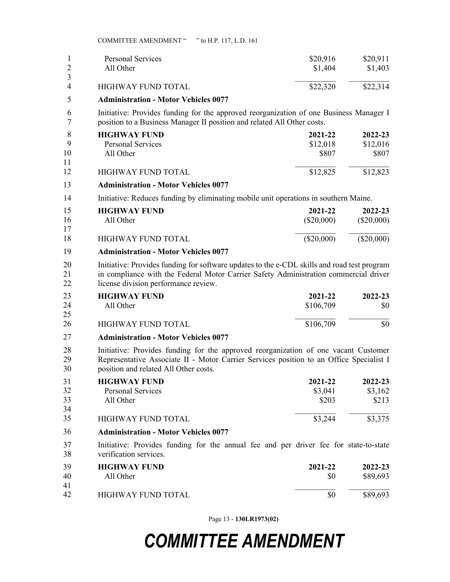| 1<br>$\overline{c}$  | <b>Personal Services</b><br>All Other                                                                                                                                                                                       | \$20,916<br>\$1,404          | \$20,911<br>\$1,403          |
|----------------------|-----------------------------------------------------------------------------------------------------------------------------------------------------------------------------------------------------------------------------|------------------------------|------------------------------|
| 3<br>4               | <b>HIGHWAY FUND TOTAL</b>                                                                                                                                                                                                   | \$22,320                     | \$22,314                     |
| 5                    | <b>Administration - Motor Vehicles 0077</b>                                                                                                                                                                                 |                              |                              |
| 6<br>7               | Initiative: Provides funding for the approved reorganization of one Business Manager I<br>position to a Business Manager II position and related All Other costs.                                                           |                              |                              |
| 8<br>9<br>10<br>11   | <b>HIGHWAY FUND</b><br><b>Personal Services</b><br>All Other                                                                                                                                                                | 2021-22<br>\$12,018<br>\$807 | 2022-23<br>\$12,016<br>\$807 |
| 12                   | <b>HIGHWAY FUND TOTAL</b>                                                                                                                                                                                                   | \$12,825                     | \$12,823                     |
| 13                   | <b>Administration - Motor Vehicles 0077</b>                                                                                                                                                                                 |                              |                              |
| 14                   | Initiative: Reduces funding by eliminating mobile unit operations in southern Maine.                                                                                                                                        |                              |                              |
| 15<br>16<br>17       | <b>HIGHWAY FUND</b><br>All Other                                                                                                                                                                                            | 2021-22<br>$(\$20,000)$      | 2022-23<br>$(\$20,000)$      |
| 18                   | <b>HIGHWAY FUND TOTAL</b>                                                                                                                                                                                                   | $(\$20,000)$                 | $(\$20,000)$                 |
| 19                   | <b>Administration - Motor Vehicles 0077</b>                                                                                                                                                                                 |                              |                              |
| 20<br>21<br>22       | Initiative: Provides funding for software updates to the e-CDL skills and road test program<br>in compliance with the Federal Motor Carrier Safety Administration commercial driver<br>license division performance review. |                              |                              |
| 23<br>24<br>25       | <b>HIGHWAY FUND</b><br>All Other                                                                                                                                                                                            | 2021-22<br>\$106,709         | 2022-23<br>\$0               |
| 26                   | <b>HIGHWAY FUND TOTAL</b>                                                                                                                                                                                                   | \$106,709                    | \$0                          |
| 27                   | <b>Administration - Motor Vehicles 0077</b>                                                                                                                                                                                 |                              |                              |
| 28<br>29<br>30       | Initiative: Provides funding for the approved reorganization of one vacant Customer<br>Representative Associate II - Motor Carrier Services position to an Office Specialist I<br>position and related All Other costs.     |                              |                              |
| 31<br>32<br>33<br>34 | <b>HIGHWAY FUND</b><br>Personal Services<br>All Other                                                                                                                                                                       | 2021-22<br>\$3,041<br>\$203  | 2022-23<br>\$3,162<br>\$213  |
| 35                   | <b>HIGHWAY FUND TOTAL</b>                                                                                                                                                                                                   | \$3,244                      | \$3,375                      |
| 36                   | <b>Administration - Motor Vehicles 0077</b>                                                                                                                                                                                 |                              |                              |
| 37<br>38             | Initiative: Provides funding for the annual fee and per driver fee for state-to-state<br>verification services.                                                                                                             |                              |                              |
| 39<br>40             | <b>HIGHWAY FUND</b><br>All Other                                                                                                                                                                                            | 2021-22<br>\$0               | 2022-23<br>\$89,693          |
| 41<br>42             | HIGHWAY FUND TOTAL                                                                                                                                                                                                          | \$0                          | \$89,693                     |

Page 13 - **130LR1973(02)**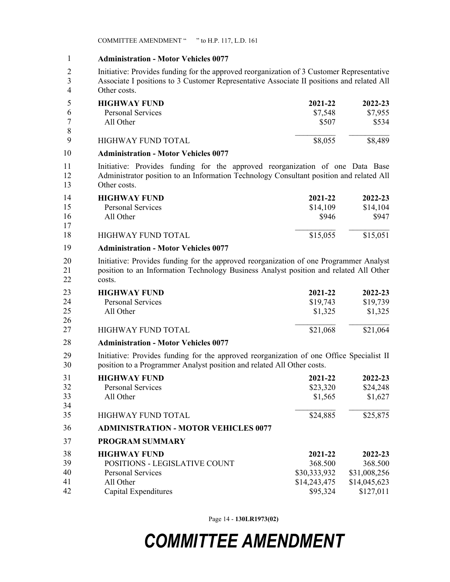1 **Administration - Motor Vehicles 0077** 1

2 Initiative: Provides funding for the approved reorganization of 3 Customer Representative 3 Associate I positions to 3 Customer Representative Associate II positions and related All 4 Other costs.

|   | <b>HIGHWAY FUND</b>      | 2021-22 | 2022-23 |
|---|--------------------------|---------|---------|
| 6 | <b>Personal Services</b> | \$7,548 | \$7,955 |
|   | All Other                | \$507   | \$534   |
| 8 |                          |         |         |
| q | HIGHWAY FUND TOTAL       | \$8,055 | \$8,489 |
|   |                          |         |         |

#### 5 **Administration - Motor Vehicles 0077** 10

11 Initiative: Provides funding for the approved reorganization of one Data Base 12 Administrator position to an Information Technology Consultant position and related All 13 Other costs.

| 14 | <b>HIGHWAY FUND</b>      | 2021-22  | 2022-23  |
|----|--------------------------|----------|----------|
| 15 | <b>Personal Services</b> | \$14,109 | \$14,104 |
| 16 | All Other                | \$946    | \$947    |
| 17 |                          |          |          |
| 18 | HIGHWAY FUND TOTAL       | \$15,055 | \$15,051 |

#### 14 **Administration - Motor Vehicles 0077** 19

20 Initiative: Provides funding for the approved reorganization of one Programmer Analyst 21 position to an Information Technology Business Analyst position and related All Other 22 costs.

| 23 | <b>HIGHWAY FUND</b> | 2021-22  | 2022-23  |
|----|---------------------|----------|----------|
| 24 | Personal Services   | \$19,743 | \$19,739 |
| 25 | All Other           | \$1,325  | \$1,325  |
| 26 |                     |          |          |
| 27 | HIGHWAY FUND TOTAL  | \$21,068 | \$21,064 |

#### 23 **Administration - Motor Vehicles 0077** 28

29 Initiative: Provides funding for the approved reorganization of one Office Specialist II 30 position to a Programmer Analyst position and related All Other costs.

| 31 | <b>HIGHWAY FUND</b>                         | 2021-22      | 2022-23      |
|----|---------------------------------------------|--------------|--------------|
| 32 | <b>Personal Services</b>                    | \$23,320     | \$24,248     |
| 33 | All Other                                   | \$1,565      | \$1,627      |
| 34 |                                             |              |              |
| 35 | <b>HIGHWAY FUND TOTAL</b>                   | \$24,885     | \$25,875     |
| 36 | <b>ADMINISTRATION - MOTOR VEHICLES 0077</b> |              |              |
| 37 | <b>PROGRAM SUMMARY</b>                      |              |              |
| 38 | <b>HIGHWAY FUND</b>                         | 2021-22      | 2022-23      |
| 39 | POSITIONS - LEGISLATIVE COUNT               | 368.500      | 368.500      |
| 40 | <b>Personal Services</b>                    | \$30,333,932 | \$31,008,256 |
| 41 | All Other                                   | \$14,243,475 | \$14,045,623 |
| 42 | Capital Expenditures                        | \$95,324     | \$127,011    |

Page 14 - **130LR1973(02)**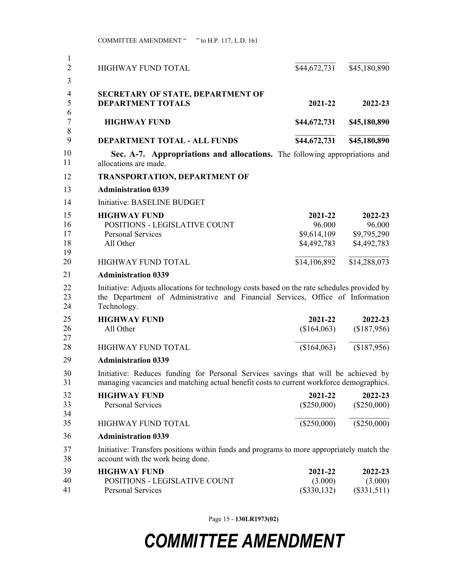| 1<br>$\overline{2}$      | <b>HIGHWAY FUND TOTAL</b>                                                                                                                                                                     | \$44,672,731             | \$45,180,890             |
|--------------------------|-----------------------------------------------------------------------------------------------------------------------------------------------------------------------------------------------|--------------------------|--------------------------|
| 3                        |                                                                                                                                                                                               |                          |                          |
| $\overline{4}$<br>5<br>6 | <b>SECRETARY OF STATE, DEPARTMENT OF</b><br><b>DEPARTMENT TOTALS</b>                                                                                                                          | 2021-22                  | 2022-23                  |
| $\tau$<br>8              | <b>HIGHWAY FUND</b>                                                                                                                                                                           | \$44,672,731             | \$45,180,890             |
| 9                        | DEPARTMENT TOTAL - ALL FUNDS                                                                                                                                                                  | \$44,672,731             | \$45,180,890             |
| 10<br>11                 | Sec. A-7. Appropriations and allocations. The following appropriations and<br>allocations are made.                                                                                           |                          |                          |
| 12                       | <b>TRANSPORTATION, DEPARTMENT OF</b>                                                                                                                                                          |                          |                          |
| 13                       | <b>Administration 0339</b>                                                                                                                                                                    |                          |                          |
| 14                       | Initiative: BASELINE BUDGET                                                                                                                                                                   |                          |                          |
| 15                       | <b>HIGHWAY FUND</b>                                                                                                                                                                           | 2021-22                  | 2022-23                  |
| 16                       | POSITIONS - LEGISLATIVE COUNT                                                                                                                                                                 | 96.000                   | 96.000                   |
| 17                       | <b>Personal Services</b>                                                                                                                                                                      | \$9,614,109              | \$9,795,290              |
| 18<br>19                 | All Other                                                                                                                                                                                     | \$4,492,783              | \$4,492,783              |
| 20                       | <b>HIGHWAY FUND TOTAL</b>                                                                                                                                                                     | \$14,106,892             | \$14,288,073             |
| 21                       | <b>Administration 0339</b>                                                                                                                                                                    |                          |                          |
| 22<br>23<br>24           | Initiative: Adjusts allocations for technology costs based on the rate schedules provided by<br>the Department of Administrative and Financial Services, Office of Information<br>Technology. |                          |                          |
| 25                       | <b>HIGHWAY FUND</b>                                                                                                                                                                           | 2021-22                  | 2022-23                  |
| 26<br>27                 | All Other                                                                                                                                                                                     | \$164,063                | (\$187,956)              |
| 28                       | <b>HIGHWAY FUND TOTAL</b>                                                                                                                                                                     | (\$164,063)              | (\$187,956)              |
| 29                       | <b>Administration 0339</b>                                                                                                                                                                    |                          |                          |
| 30<br>31                 | Initiative: Reduces funding for Personal Services savings that will be achieved by<br>managing vacancies and matching actual benefit costs to current workforce demographics.                 |                          |                          |
| 32<br>33<br>34           | <b>HIGHWAY FUND</b><br>Personal Services                                                                                                                                                      | 2021-22<br>$(\$250,000)$ | 2022-23<br>$(\$250,000)$ |
| 35                       | <b>HIGHWAY FUND TOTAL</b>                                                                                                                                                                     | $(\$250,000)$            | $($ \$250,000)           |
| 36                       | <b>Administration 0339</b>                                                                                                                                                                    |                          |                          |
| 37<br>38                 | Initiative: Transfers positions within funds and programs to more appropriately match the<br>account with the work being done.                                                                |                          |                          |
| 39                       | <b>HIGHWAY FUND</b>                                                                                                                                                                           | 2021-22                  | 2022-23                  |
| 40                       | POSITIONS - LEGISLATIVE COUNT                                                                                                                                                                 | (3.000)                  | (3.000)                  |
| 41                       | Personal Services                                                                                                                                                                             | $(\$330,132)$            | (\$331,511)              |

Page 15 - **130LR1973(02)**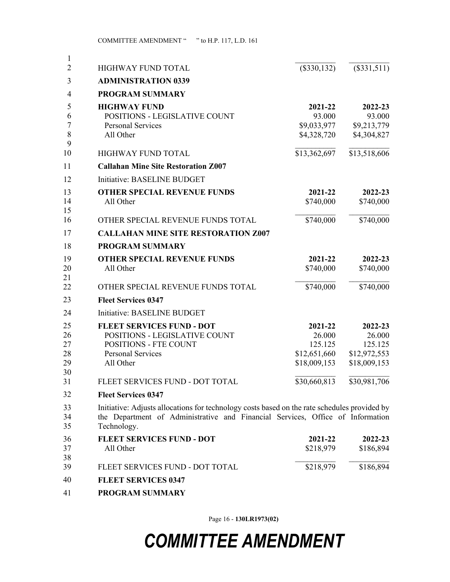| $\mathbf{1}$<br>$\overline{2}$ | <b>HIGHWAY FUND TOTAL</b>                                                                    | $(\$330,132)$              | (\$331,511)                |
|--------------------------------|----------------------------------------------------------------------------------------------|----------------------------|----------------------------|
|                                |                                                                                              |                            |                            |
| 3                              | <b>ADMINISTRATION 0339</b>                                                                   |                            |                            |
| $\overline{4}$                 | <b>PROGRAM SUMMARY</b>                                                                       |                            |                            |
| 5                              | <b>HIGHWAY FUND</b>                                                                          | 2021-22                    | 2022-23                    |
| 6                              | POSITIONS - LEGISLATIVE COUNT                                                                | 93.000                     | 93.000                     |
| 7<br>8                         | <b>Personal Services</b><br>All Other                                                        | \$9,033,977<br>\$4,328,720 | \$9,213,779<br>\$4,304,827 |
| 9                              |                                                                                              |                            |                            |
| 10                             | <b>HIGHWAY FUND TOTAL</b>                                                                    | \$13,362,697               | \$13,518,606               |
| 11                             | <b>Callahan Mine Site Restoration Z007</b>                                                   |                            |                            |
| 12                             | Initiative: BASELINE BUDGET                                                                  |                            |                            |
| 13                             | <b>OTHER SPECIAL REVENUE FUNDS</b>                                                           | 2021-22                    | 2022-23                    |
| 14                             | All Other                                                                                    | \$740,000                  | \$740,000                  |
| 15                             |                                                                                              |                            |                            |
| 16                             | OTHER SPECIAL REVENUE FUNDS TOTAL                                                            | \$740,000                  | \$740,000                  |
| 17                             | <b>CALLAHAN MINE SITE RESTORATION Z007</b>                                                   |                            |                            |
| 18                             | <b>PROGRAM SUMMARY</b>                                                                       |                            |                            |
| 19                             | <b>OTHER SPECIAL REVENUE FUNDS</b>                                                           | 2021-22                    | 2022-23                    |
| 20                             | All Other                                                                                    | \$740,000                  | \$740,000                  |
| 21<br>22                       | OTHER SPECIAL REVENUE FUNDS TOTAL                                                            | \$740,000                  | \$740,000                  |
| 23                             | <b>Fleet Services 0347</b>                                                                   |                            |                            |
| 24                             | Initiative: BASELINE BUDGET                                                                  |                            |                            |
|                                |                                                                                              |                            |                            |
| 25<br>26                       | <b>FLEET SERVICES FUND - DOT</b><br>POSITIONS - LEGISLATIVE COUNT                            | 2021-22<br>26.000          | 2022-23<br>26.000          |
| 27                             | <b>POSITIONS - FTE COUNT</b>                                                                 | 125.125                    | 125.125                    |
| 28                             | <b>Personal Services</b>                                                                     | \$12,651,660               | \$12,972,553               |
| 29                             | All Other                                                                                    | \$18,009,153               | \$18,009,153               |
| 30                             |                                                                                              |                            |                            |
| 31                             | FLEET SERVICES FUND - DOT TOTAL                                                              | \$30,660,813               | \$30,981,706               |
| 32                             | <b>Fleet Services 0347</b>                                                                   |                            |                            |
| 33                             | Initiative: Adjusts allocations for technology costs based on the rate schedules provided by |                            |                            |
| 34                             | the Department of Administrative and Financial Services, Office of Information               |                            |                            |
| 35                             | Technology.                                                                                  |                            |                            |
| 36                             | <b>FLEET SERVICES FUND - DOT</b>                                                             | 2021-22                    | 2022-23                    |
| 37<br>38                       | All Other                                                                                    | \$218,979                  | \$186,894                  |
| 39                             | FLEET SERVICES FUND - DOT TOTAL                                                              | \$218,979                  | \$186,894                  |
| 40                             | <b>FLEET SERVICES 0347</b>                                                                   |                            |                            |
| 41                             | <b>PROGRAM SUMMARY</b>                                                                       |                            |                            |
|                                |                                                                                              |                            |                            |

Page 16 - **130LR1973(02)**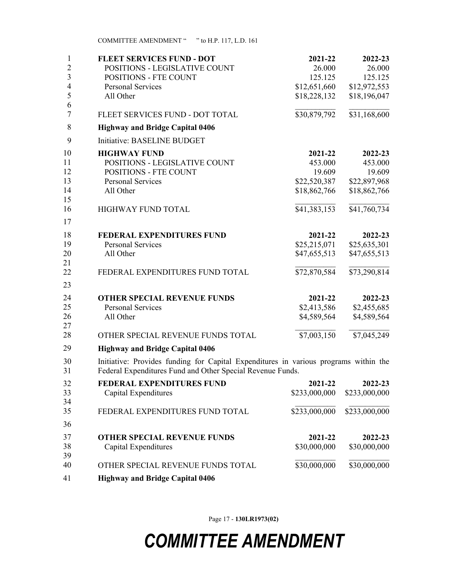| 1<br>$\overline{2}$<br>3 | <b>FLEET SERVICES FUND - DOT</b><br>POSITIONS - LEGISLATIVE COUNT<br>POSITIONS - FTE COUNT                                                         | 2021-22<br>26.000<br>125.125 | 2022-23<br>26.000<br>125.125 |
|--------------------------|----------------------------------------------------------------------------------------------------------------------------------------------------|------------------------------|------------------------------|
| $\overline{4}$<br>5      | Personal Services<br>All Other                                                                                                                     | \$12,651,660<br>\$18,228,132 | \$12,972,553<br>\$18,196,047 |
| 6<br>7                   | FLEET SERVICES FUND - DOT TOTAL                                                                                                                    | \$30,879,792                 | \$31,168,600                 |
| 8                        | <b>Highway and Bridge Capital 0406</b>                                                                                                             |                              |                              |
| 9                        | Initiative: BASELINE BUDGET                                                                                                                        |                              |                              |
| 10                       | <b>HIGHWAY FUND</b>                                                                                                                                | 2021-22                      | 2022-23                      |
| 11                       | POSITIONS - LEGISLATIVE COUNT                                                                                                                      | 453.000                      | 453.000                      |
| 12                       | POSITIONS - FTE COUNT                                                                                                                              | 19.609                       | 19.609                       |
| 13                       | <b>Personal Services</b>                                                                                                                           | \$22,520,387                 | \$22,897,968                 |
| 14                       | All Other                                                                                                                                          | \$18,862,766                 | \$18,862,766                 |
| 15                       |                                                                                                                                                    |                              |                              |
| 16                       | <b>HIGHWAY FUND TOTAL</b>                                                                                                                          | \$41,383,153                 | $\overline{$}41,760,734$     |
| 17                       |                                                                                                                                                    |                              |                              |
| 18                       | <b>FEDERAL EXPENDITURES FUND</b>                                                                                                                   | 2021-22                      | 2022-23                      |
| 19                       | <b>Personal Services</b>                                                                                                                           | \$25,215,071                 | \$25,635,301                 |
| 20<br>21                 | All Other                                                                                                                                          | \$47,655,513                 | \$47,655,513                 |
| 22                       | FEDERAL EXPENDITURES FUND TOTAL                                                                                                                    | \$72,870,584                 | \$73,290,814                 |
| 23                       |                                                                                                                                                    |                              |                              |
| 24                       | <b>OTHER SPECIAL REVENUE FUNDS</b>                                                                                                                 | 2021-22                      | 2022-23                      |
| 25                       | <b>Personal Services</b>                                                                                                                           | \$2,413,586                  | \$2,455,685                  |
| 26<br>27                 | All Other                                                                                                                                          | \$4,589,564                  | \$4,589,564                  |
| 28                       | OTHER SPECIAL REVENUE FUNDS TOTAL                                                                                                                  | \$7,003,150                  | \$7,045,249                  |
| 29                       | <b>Highway and Bridge Capital 0406</b>                                                                                                             |                              |                              |
| 30<br>31                 | Initiative: Provides funding for Capital Expenditures in various programs within the<br>Federal Expenditures Fund and Other Special Revenue Funds. |                              |                              |
| 32                       | <b>FEDERAL EXPENDITURES FUND</b>                                                                                                                   | 2021-22                      | 2022-23                      |
| 33                       | Capital Expenditures                                                                                                                               | \$233,000,000                | \$233,000,000                |
| 34<br>35                 | FEDERAL EXPENDITURES FUND TOTAL                                                                                                                    | \$233,000,000                | \$233,000,000                |
| 36                       |                                                                                                                                                    |                              |                              |
| 37                       | <b>OTHER SPECIAL REVENUE FUNDS</b>                                                                                                                 | 2021-22                      | 2022-23                      |
| 38                       | Capital Expenditures                                                                                                                               | \$30,000,000                 | \$30,000,000                 |
| 39                       |                                                                                                                                                    |                              |                              |
| 40                       | OTHER SPECIAL REVENUE FUNDS TOTAL                                                                                                                  | \$30,000,000                 | \$30,000,000                 |
| 41                       | <b>Highway and Bridge Capital 0406</b>                                                                                                             |                              |                              |

Page 17 - **130LR1973(02)**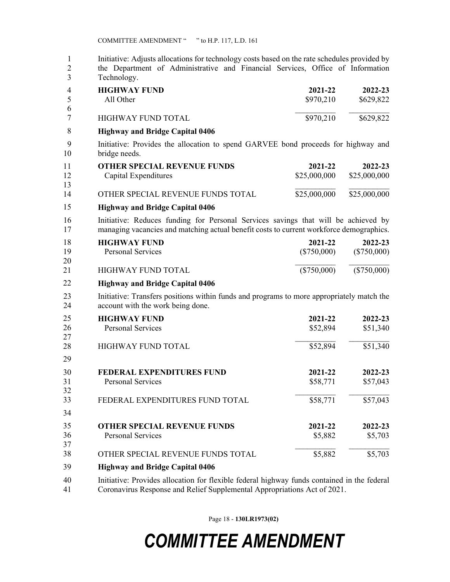| 1<br>$\overline{2}$<br>3 | Initiative: Adjusts allocations for technology costs based on the rate schedules provided by<br>the Department of Administrative and Financial Services, Office of Information<br>Technology. |                          |                          |
|--------------------------|-----------------------------------------------------------------------------------------------------------------------------------------------------------------------------------------------|--------------------------|--------------------------|
| 4<br>5<br>6              | <b>HIGHWAY FUND</b><br>All Other                                                                                                                                                              | 2021-22<br>\$970,210     | 2022-23<br>\$629,822     |
| 7                        | <b>HIGHWAY FUND TOTAL</b>                                                                                                                                                                     | \$970,210                | \$629,822                |
| 8                        | <b>Highway and Bridge Capital 0406</b>                                                                                                                                                        |                          |                          |
| 9<br>10                  | Initiative: Provides the allocation to spend GARVEE bond proceeds for highway and<br>bridge needs.                                                                                            |                          |                          |
| 11<br>12<br>13           | <b>OTHER SPECIAL REVENUE FUNDS</b><br>Capital Expenditures                                                                                                                                    | 2021-22<br>\$25,000,000  | 2022-23<br>\$25,000,000  |
| 14                       | OTHER SPECIAL REVENUE FUNDS TOTAL                                                                                                                                                             | \$25,000,000             | \$25,000,000             |
| 15                       | <b>Highway and Bridge Capital 0406</b>                                                                                                                                                        |                          |                          |
| 16<br>17                 | Initiative: Reduces funding for Personal Services savings that will be achieved by<br>managing vacancies and matching actual benefit costs to current workforce demographics.                 |                          |                          |
| 18<br>19<br>20           | <b>HIGHWAY FUND</b><br><b>Personal Services</b>                                                                                                                                               | 2021-22<br>$(\$750,000)$ | 2022-23<br>$(\$750,000)$ |
| 21                       | <b>HIGHWAY FUND TOTAL</b>                                                                                                                                                                     | $(\$750,000)$            | $(\$750,000)$            |
| 22                       | <b>Highway and Bridge Capital 0406</b>                                                                                                                                                        |                          |                          |
| 23<br>24                 | Initiative: Transfers positions within funds and programs to more appropriately match the<br>account with the work being done.                                                                |                          |                          |
| 25                       | <b>HIGHWAY FUND</b>                                                                                                                                                                           | 2021-22                  | 2022-23                  |
| 26                       | <b>Personal Services</b>                                                                                                                                                                      | \$52,894                 | \$51,340                 |
| 27<br>28                 | <b>HIGHWAY FUND TOTAL</b>                                                                                                                                                                     | \$52,894                 | \$51,340                 |
| 29                       |                                                                                                                                                                                               |                          |                          |
| 30                       | <b>FEDERAL EXPENDITURES FUND</b>                                                                                                                                                              | 2021-22                  | 2022-23                  |
| 31                       | Personal Services                                                                                                                                                                             | \$58,771                 | \$57,043                 |
| 32<br>33                 | FEDERAL EXPENDITURES FUND TOTAL                                                                                                                                                               | \$58,771                 | \$57,043                 |
| 34                       |                                                                                                                                                                                               |                          |                          |
| 35                       | <b>OTHER SPECIAL REVENUE FUNDS</b>                                                                                                                                                            | 2021-22                  | 2022-23                  |
| 36                       | Personal Services                                                                                                                                                                             | \$5,882                  | \$5,703                  |
| 37<br>38                 | OTHER SPECIAL REVENUE FUNDS TOTAL                                                                                                                                                             | \$5,882                  | \$5,703                  |
| 39                       | <b>Highway and Bridge Capital 0406</b>                                                                                                                                                        |                          |                          |
| 40                       | Initiative: Provides allocation for flexible federal highway funds contained in the federal                                                                                                   |                          |                          |

41 Coronavirus Response and Relief Supplemental Appropriations Act of 2021.

Page 18 - **130LR1973(02)**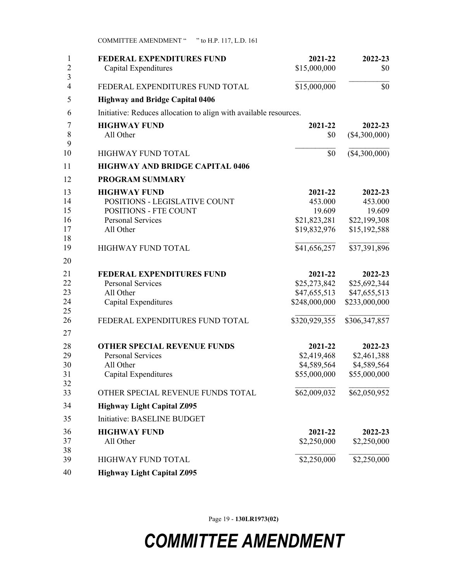| 1<br>$\overline{2}$              | <b>FEDERAL EXPENDITURES FUND</b><br>Capital Expenditures          | 2021-22<br>\$15,000,000 | 2022-23<br>\$0     |
|----------------------------------|-------------------------------------------------------------------|-------------------------|--------------------|
| $\overline{3}$<br>$\overline{4}$ | FEDERAL EXPENDITURES FUND TOTAL                                   | \$15,000,000            | \$0                |
| 5                                | <b>Highway and Bridge Capital 0406</b>                            |                         |                    |
| 6                                | Initiative: Reduces allocation to align with available resources. |                         |                    |
| 7                                | <b>HIGHWAY FUND</b>                                               | 2021-22                 | 2022-23            |
| 8<br>9                           | All Other                                                         | \$0                     | $(\$4,300,000)$    |
| 10                               | <b>HIGHWAY FUND TOTAL</b>                                         | \$0                     | $(\$4,300,000)$    |
| 11                               | <b>HIGHWAY AND BRIDGE CAPITAL 0406</b>                            |                         |                    |
| 12                               | <b>PROGRAM SUMMARY</b>                                            |                         |                    |
| 13<br>14                         | <b>HIGHWAY FUND</b><br>POSITIONS - LEGISLATIVE COUNT              | 2021-22<br>453.000      | 2022-23<br>453.000 |
| 15                               | POSITIONS - FTE COUNT                                             | 19.609                  | 19.609             |
| 16                               | <b>Personal Services</b>                                          | \$21,823,281            | \$22,199,308       |
| 17<br>18                         | All Other                                                         | \$19,832,976            | \$15,192,588       |
| 19                               | <b>HIGHWAY FUND TOTAL</b>                                         | \$41,656,257            | \$37,391,896       |
| 20                               |                                                                   |                         |                    |
| 21                               | <b>FEDERAL EXPENDITURES FUND</b>                                  | 2021-22                 | 2022-23            |
| 22                               | <b>Personal Services</b>                                          | \$25,273,842            | \$25,692,344       |
| 23                               | All Other                                                         | \$47,655,513            | \$47,655,513       |
| 24<br>25                         | Capital Expenditures                                              | \$248,000,000           | \$233,000,000      |
| 26                               | FEDERAL EXPENDITURES FUND TOTAL                                   | \$320,929,355           | \$306,347,857      |
| 27<br>28                         | <b>OTHER SPECIAL REVENUE FUNDS</b>                                | 2021-22                 | 2022-23            |
| 29                               | <b>Personal Services</b>                                          | \$2,419,468             | \$2,461,388        |
| 30                               | All Other                                                         | \$4,589,564             | \$4,589,564        |
| 31                               | Capital Expenditures                                              | \$55,000,000            | \$55,000,000       |
| 32                               |                                                                   |                         |                    |
| 33                               | OTHER SPECIAL REVENUE FUNDS TOTAL                                 | \$62,009,032            | \$62,050,952       |
| 34                               | <b>Highway Light Capital Z095</b>                                 |                         |                    |
| 35                               | Initiative: BASELINE BUDGET                                       |                         |                    |
| 36                               | <b>HIGHWAY FUND</b>                                               | 2021-22                 | 2022-23            |
| 37                               | All Other                                                         | \$2,250,000             | \$2,250,000        |
|                                  |                                                                   |                         |                    |
|                                  |                                                                   |                         |                    |
| 38<br>39<br>40                   | <b>HIGHWAY FUND TOTAL</b><br><b>Highway Light Capital Z095</b>    | \$2,250,000             | \$2,250,000        |

Page 19 - **130LR1973(02)**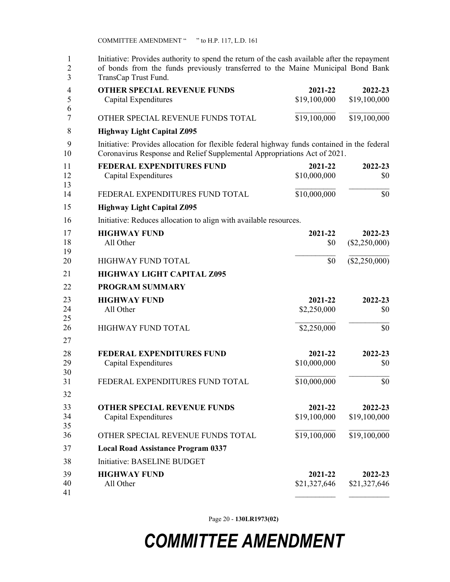1 Initiative: Provides authority to spend the return of the cash available after the repayment 2 of bonds from the funds previously transferred to the Maine Municipal Bond Bank 3 TransCap Trust Fund.

| 4<br>5         | <b>OTHER SPECIAL REVENUE FUNDS</b><br>Capital Expenditures                                                                                                              | 2021-22<br>\$19,100,000 | 2022-23<br>\$19,100,000  |
|----------------|-------------------------------------------------------------------------------------------------------------------------------------------------------------------------|-------------------------|--------------------------|
| 6<br>7         | OTHER SPECIAL REVENUE FUNDS TOTAL                                                                                                                                       | \$19,100,000            | \$19,100,000             |
| 8              | <b>Highway Light Capital Z095</b>                                                                                                                                       |                         |                          |
| 9<br>10        | Initiative: Provides allocation for flexible federal highway funds contained in the federal<br>Coronavirus Response and Relief Supplemental Appropriations Act of 2021. |                         |                          |
| 11<br>12<br>13 | FEDERAL EXPENDITURES FUND<br>Capital Expenditures                                                                                                                       | 2021-22<br>\$10,000,000 | 2022-23<br>\$0           |
| 14             | FEDERAL EXPENDITURES FUND TOTAL                                                                                                                                         | \$10,000,000            | \$0                      |
| 15             | <b>Highway Light Capital Z095</b>                                                                                                                                       |                         |                          |
| 16             | Initiative: Reduces allocation to align with available resources.                                                                                                       |                         |                          |
| 17             | <b>HIGHWAY FUND</b>                                                                                                                                                     | 2021-22                 | 2022-23                  |
| 18<br>19       | All Other                                                                                                                                                               | \$0                     | $(\$2,250,000)$          |
| 20             | <b>HIGHWAY FUND TOTAL</b>                                                                                                                                               | \$0                     | $(\$2,250,000)$          |
| 21             | <b>HIGHWAY LIGHT CAPITAL Z095</b>                                                                                                                                       |                         |                          |
| 22             | <b>PROGRAM SUMMARY</b>                                                                                                                                                  |                         |                          |
| 23<br>24<br>25 | <b>HIGHWAY FUND</b><br>All Other                                                                                                                                        | 2021-22<br>\$2,250,000  | 2022-23<br>\$0           |
| 26<br>27       | <b>HIGHWAY FUND TOTAL</b>                                                                                                                                               | \$2,250,000             | \$0                      |
| 28<br>29<br>30 | <b>FEDERAL EXPENDITURES FUND</b><br>Capital Expenditures                                                                                                                | 2021-22<br>\$10,000,000 | 2022-23<br>\$0           |
| 31<br>32       | FEDERAL EXPENDITURES FUND TOTAL                                                                                                                                         | \$10,000,000            | \$0                      |
| 33<br>34<br>35 | <b>OTHER SPECIAL REVENUE FUNDS</b><br>Capital Expenditures                                                                                                              | 2021-22<br>\$19,100,000 | 2022-23<br>\$19,100,000  |
| 36             | OTHER SPECIAL REVENUE FUNDS TOTAL                                                                                                                                       | \$19,100,000            | $\overline{$19,100,000}$ |
| 37             | <b>Local Road Assistance Program 0337</b>                                                                                                                               |                         |                          |
| 38             | Initiative: BASELINE BUDGET                                                                                                                                             |                         |                          |
| 39<br>40<br>41 | <b>HIGHWAY FUND</b><br>All Other                                                                                                                                        | 2021-22<br>\$21,327,646 | 2022-23<br>\$21,327,646  |

Page 20 - **130LR1973(02)**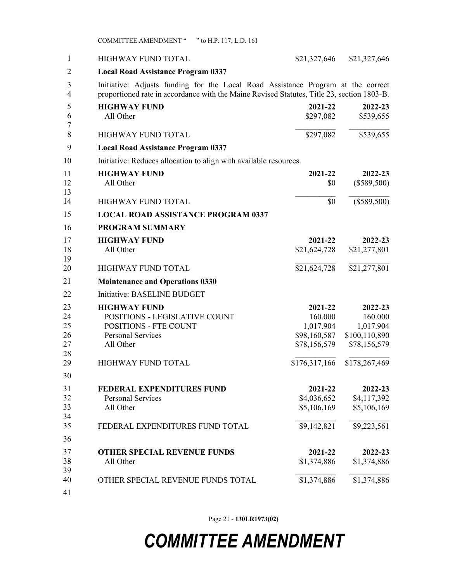| 1              | <b>HIGHWAY FUND TOTAL</b>                                                                                                                                                      | \$21,327,646  | \$21,327,646  |
|----------------|--------------------------------------------------------------------------------------------------------------------------------------------------------------------------------|---------------|---------------|
| $\overline{2}$ | <b>Local Road Assistance Program 0337</b>                                                                                                                                      |               |               |
| 3<br>4         | Initiative: Adjusts funding for the Local Road Assistance Program at the correct<br>proportioned rate in accordance with the Maine Revised Statutes, Title 23, section 1803-B. |               |               |
| 5              | <b>HIGHWAY FUND</b>                                                                                                                                                            | 2021-22       | 2022-23       |
| 6              | All Other                                                                                                                                                                      | \$297,082     | \$539,655     |
| 7<br>8         | <b>HIGHWAY FUND TOTAL</b>                                                                                                                                                      | \$297,082     | \$539,655     |
| 9              | <b>Local Road Assistance Program 0337</b>                                                                                                                                      |               |               |
| 10             | Initiative: Reduces allocation to align with available resources.                                                                                                              |               |               |
| 11             | <b>HIGHWAY FUND</b>                                                                                                                                                            | 2021-22       | 2022-23       |
| 12             | All Other                                                                                                                                                                      | \$0           | $(\$589,500)$ |
| 13             |                                                                                                                                                                                |               |               |
| 14             | <b>HIGHWAY FUND TOTAL</b>                                                                                                                                                      | \$0           | $(\$589,500)$ |
| 15             | <b>LOCAL ROAD ASSISTANCE PROGRAM 0337</b>                                                                                                                                      |               |               |
| 16             | <b>PROGRAM SUMMARY</b>                                                                                                                                                         |               |               |
| 17             | <b>HIGHWAY FUND</b>                                                                                                                                                            | 2021-22       | 2022-23       |
| 18             | All Other                                                                                                                                                                      | \$21,624,728  | \$21,277,801  |
| 19<br>20       | <b>HIGHWAY FUND TOTAL</b>                                                                                                                                                      | \$21,624,728  | \$21,277,801  |
| 21             | <b>Maintenance and Operations 0330</b>                                                                                                                                         |               |               |
| 22             | Initiative: BASELINE BUDGET                                                                                                                                                    |               |               |
| 23             | <b>HIGHWAY FUND</b>                                                                                                                                                            | 2021-22       | 2022-23       |
| 24             | POSITIONS - LEGISLATIVE COUNT                                                                                                                                                  | 160.000       | 160.000       |
| 25             | POSITIONS - FTE COUNT                                                                                                                                                          | 1,017.904     | 1,017.904     |
| 26             | <b>Personal Services</b>                                                                                                                                                       | \$98,160,587  | \$100,110,890 |
| 27             | All Other                                                                                                                                                                      | \$78,156,579  | \$78,156,579  |
| 28<br>29       | <b>HIGHWAY FUND TOTAL</b>                                                                                                                                                      | \$176,317,166 | \$178,267,469 |
| 30             |                                                                                                                                                                                |               |               |
| 31             | FEDERAL EXPENDITURES FUND                                                                                                                                                      | 2021-22       | 2022-23       |
| 32             | <b>Personal Services</b>                                                                                                                                                       | \$4,036,652   | \$4,117,392   |
| 33             | All Other                                                                                                                                                                      | \$5,106,169   | \$5,106,169   |
| 34             |                                                                                                                                                                                |               |               |
| 35             | FEDERAL EXPENDITURES FUND TOTAL                                                                                                                                                | \$9,142,821   | \$9,223,561   |
| 36             |                                                                                                                                                                                |               |               |
| 37             | <b>OTHER SPECIAL REVENUE FUNDS</b>                                                                                                                                             | 2021-22       | 2022-23       |
| 38             | All Other                                                                                                                                                                      | \$1,374,886   | \$1,374,886   |
| 39             |                                                                                                                                                                                |               |               |
| 40             | OTHER SPECIAL REVENUE FUNDS TOTAL                                                                                                                                              | \$1,374,886   | \$1,374,886   |
| 41             |                                                                                                                                                                                |               |               |

Page 21 - **130LR1973(02)**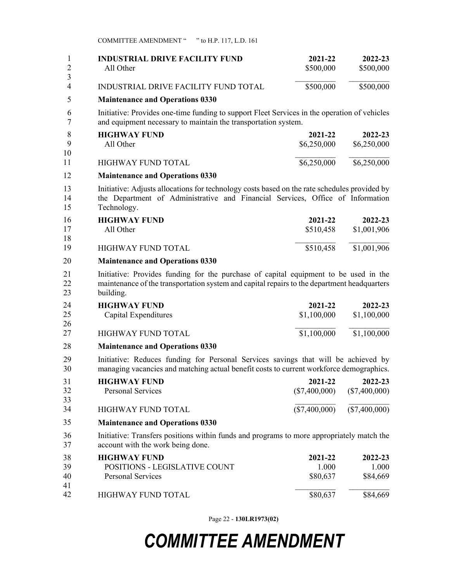| 1<br>$\overline{2}$<br>3 | <b>INDUSTRIAL DRIVE FACILITY FUND</b><br>All Other                                                                                                                                               | 2021-22<br>\$500,000         | 2022-23<br>\$500,000         |
|--------------------------|--------------------------------------------------------------------------------------------------------------------------------------------------------------------------------------------------|------------------------------|------------------------------|
| $\overline{4}$           | <b>INDUSTRIAL DRIVE FACILITY FUND TOTAL</b>                                                                                                                                                      | \$500,000                    | \$500,000                    |
| 5                        | <b>Maintenance and Operations 0330</b>                                                                                                                                                           |                              |                              |
| 6<br>7                   | Initiative: Provides one-time funding to support Fleet Services in the operation of vehicles<br>and equipment necessary to maintain the transportation system.                                   |                              |                              |
| 8<br>9<br>10             | <b>HIGHWAY FUND</b><br>All Other                                                                                                                                                                 | 2021-22<br>\$6,250,000       | 2022-23<br>\$6,250,000       |
| 11                       | <b>HIGHWAY FUND TOTAL</b>                                                                                                                                                                        | \$6,250,000                  | \$6,250,000                  |
| 12                       | <b>Maintenance and Operations 0330</b>                                                                                                                                                           |                              |                              |
| 13<br>14<br>15           | Initiative: Adjusts allocations for technology costs based on the rate schedules provided by<br>the Department of Administrative and Financial Services, Office of Information<br>Technology.    |                              |                              |
| 16<br>17<br>18           | <b>HIGHWAY FUND</b><br>All Other                                                                                                                                                                 | 2021-22<br>\$510,458         | 2022-23<br>\$1,001,906       |
| 19                       | <b>HIGHWAY FUND TOTAL</b>                                                                                                                                                                        | \$510,458                    | \$1,001,906                  |
| 20                       | <b>Maintenance and Operations 0330</b>                                                                                                                                                           |                              |                              |
| 21<br>22<br>23           | Initiative: Provides funding for the purchase of capital equipment to be used in the<br>maintenance of the transportation system and capital repairs to the department headquarters<br>building. |                              |                              |
| 24<br>25<br>26           | <b>HIGHWAY FUND</b><br>Capital Expenditures                                                                                                                                                      | 2021-22<br>\$1,100,000       | 2022-23<br>\$1,100,000       |
| 27                       | <b>HIGHWAY FUND TOTAL</b>                                                                                                                                                                        | \$1,100,000                  | \$1,100,000                  |
| 28                       | <b>Maintenance and Operations 0330</b>                                                                                                                                                           |                              |                              |
| 29<br>30                 | Initiative: Reduces funding for Personal Services savings that will be achieved by<br>managing vacancies and matching actual benefit costs to current workforce demographics.                    |                              |                              |
| 31<br>32<br>33           | <b>HIGHWAY FUND</b><br>Personal Services                                                                                                                                                         | 2021-22<br>$(\$7,400,000)$   | 2022-23<br>$(\$7,400,000)$   |
| 34                       | HIGHWAY FUND TOTAL                                                                                                                                                                               | $(\$7,400,000)$              | $(\$7,400,000)$              |
| 35                       | <b>Maintenance and Operations 0330</b>                                                                                                                                                           |                              |                              |
| 36<br>37                 | Initiative: Transfers positions within funds and programs to more appropriately match the<br>account with the work being done.                                                                   |                              |                              |
| 38<br>39<br>40<br>41     | <b>HIGHWAY FUND</b><br>POSITIONS - LEGISLATIVE COUNT<br><b>Personal Services</b>                                                                                                                 | 2021-22<br>1.000<br>\$80,637 | 2022-23<br>1.000<br>\$84,669 |
| 42                       | HIGHWAY FUND TOTAL                                                                                                                                                                               | \$80,637                     | \$84,669                     |

Page 22 - **130LR1973(02)**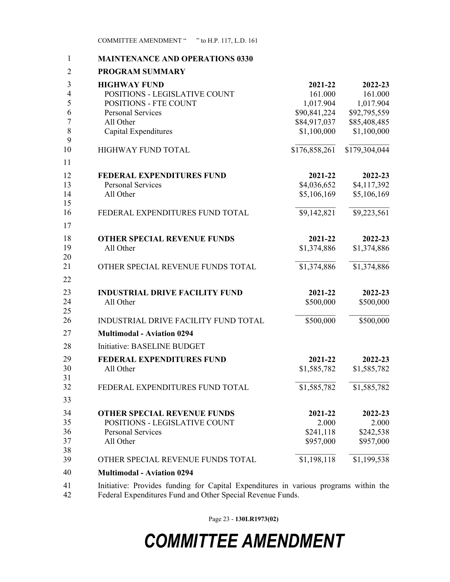| <b>MAINTENANCE AND OPERATIONS 0330</b>                                               |               |               |
|--------------------------------------------------------------------------------------|---------------|---------------|
| <b>PROGRAM SUMMARY</b>                                                               |               |               |
| <b>HIGHWAY FUND</b>                                                                  | 2021-22       | 2022-23       |
| POSITIONS - LEGISLATIVE COUNT                                                        | 161.000       | 161.000       |
| <b>POSITIONS - FTE COUNT</b>                                                         | 1,017.904     | 1,017.904     |
| <b>Personal Services</b>                                                             | \$90,841,224  | \$92,795,559  |
| All Other                                                                            | \$84,917,037  | \$85,408,485  |
| Capital Expenditures                                                                 | \$1,100,000   | \$1,100,000   |
|                                                                                      |               |               |
| <b>HIGHWAY FUND TOTAL</b>                                                            | \$176,858,261 | \$179,304,044 |
| <b>FEDERAL EXPENDITURES FUND</b>                                                     | 2021-22       | 2022-23       |
| <b>Personal Services</b>                                                             | \$4,036,652   | \$4,117,392   |
| All Other                                                                            | \$5,106,169   | \$5,106,169   |
|                                                                                      |               |               |
| FEDERAL EXPENDITURES FUND TOTAL                                                      | \$9,142,821   | \$9,223,561   |
|                                                                                      |               |               |
| <b>OTHER SPECIAL REVENUE FUNDS</b>                                                   | 2021-22       | 2022-23       |
| All Other                                                                            | \$1,374,886   | \$1,374,886   |
| OTHER SPECIAL REVENUE FUNDS TOTAL                                                    | \$1,374,886   | \$1,374,886   |
|                                                                                      |               |               |
| <b>INDUSTRIAL DRIVE FACILITY FUND</b>                                                | 2021-22       | 2022-23       |
| All Other                                                                            | \$500,000     | \$500,000     |
|                                                                                      |               |               |
| INDUSTRIAL DRIVE FACILITY FUND TOTAL                                                 | \$500,000     | \$500,000     |
| <b>Multimodal - Aviation 0294</b>                                                    |               |               |
| Initiative: BASELINE BUDGET                                                          |               |               |
| <b>FEDERAL EXPENDITURES FUND</b>                                                     | 2021-22       | 2022-23       |
| All Other                                                                            | \$1,585,782   | \$1,585,782   |
| FEDERAL EXPENDITURES FUND TOTAL                                                      | \$1,585,782   | \$1,585,782   |
|                                                                                      |               |               |
| <b>OTHER SPECIAL REVENUE FUNDS</b>                                                   | 2021-22       | 2022-23       |
| POSITIONS - LEGISLATIVE COUNT                                                        | 2.000         | 2.000         |
| <b>Personal Services</b>                                                             | \$241,118     | \$242,538     |
| All Other                                                                            | \$957,000     | \$957,000     |
| OTHER SPECIAL REVENUE FUNDS TOTAL                                                    | \$1,198,118   | \$1,199,538   |
| <b>Multimodal - Aviation 0294</b>                                                    |               |               |
| Initiative: Provides funding for Capital Expenditures in various programs within the |               |               |
| Federal Expenditures Fund and Other Special Revenue Funds.                           |               |               |

Page 23 - **130LR1973(02)**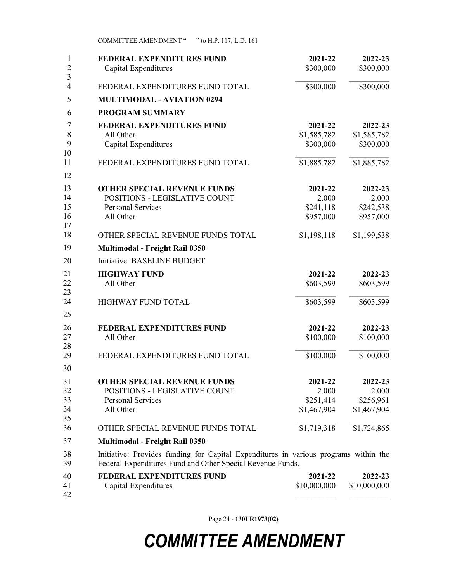| 1<br>$\overline{2}$        | <b>FEDERAL EXPENDITURES FUND</b><br>Capital Expenditures                                                                                           | 2021-22<br>\$300,000                         | 2022-23<br>\$300,000                         |
|----------------------------|----------------------------------------------------------------------------------------------------------------------------------------------------|----------------------------------------------|----------------------------------------------|
| 3<br>$\overline{4}$        | FEDERAL EXPENDITURES FUND TOTAL                                                                                                                    | \$300,000                                    | \$300,000                                    |
| 5                          | <b>MULTIMODAL - AVIATION 0294</b>                                                                                                                  |                                              |                                              |
| 6                          | <b>PROGRAM SUMMARY</b>                                                                                                                             |                                              |                                              |
| 7<br>8<br>9<br>10          | <b>FEDERAL EXPENDITURES FUND</b><br>All Other<br>Capital Expenditures                                                                              | 2021-22<br>\$1,585,782<br>\$300,000          | 2022-23<br>\$1,585,782<br>\$300,000          |
| 11<br>12                   | FEDERAL EXPENDITURES FUND TOTAL                                                                                                                    | \$1,885,782                                  | \$1,885,782                                  |
| 13<br>14<br>15<br>16<br>17 | <b>OTHER SPECIAL REVENUE FUNDS</b><br>POSITIONS - LEGISLATIVE COUNT<br><b>Personal Services</b><br>All Other                                       | 2021-22<br>2.000<br>\$241,118<br>\$957,000   | 2022-23<br>2.000<br>\$242,538<br>\$957,000   |
| 18                         | OTHER SPECIAL REVENUE FUNDS TOTAL                                                                                                                  | \$1,198,118                                  | \$1,199,538                                  |
| 19                         | <b>Multimodal - Freight Rail 0350</b>                                                                                                              |                                              |                                              |
| 20                         | Initiative: BASELINE BUDGET                                                                                                                        |                                              |                                              |
| 21<br>22<br>23             | <b>HIGHWAY FUND</b><br>All Other                                                                                                                   | 2021-22<br>\$603,599                         | 2022-23<br>\$603,599                         |
| 24<br>25                   | <b>HIGHWAY FUND TOTAL</b>                                                                                                                          | \$603,599                                    | \$603,599                                    |
| 26<br>27<br>28             | <b>FEDERAL EXPENDITURES FUND</b><br>All Other                                                                                                      | 2021-22<br>\$100,000                         | 2022-23<br>\$100,000                         |
| 29<br>30                   | FEDERAL EXPENDITURES FUND TOTAL                                                                                                                    | \$100,000                                    | \$100,000                                    |
| 31<br>32<br>33<br>34<br>35 | <b>OTHER SPECIAL REVENUE FUNDS</b><br>POSITIONS - LEGISLATIVE COUNT<br><b>Personal Services</b><br>All Other                                       | 2021-22<br>2.000<br>\$251,414<br>\$1,467,904 | 2022-23<br>2.000<br>\$256,961<br>\$1,467,904 |
| 36                         | OTHER SPECIAL REVENUE FUNDS TOTAL                                                                                                                  | \$1,719,318                                  | \$1,724,865                                  |
| 37                         | <b>Multimodal - Freight Rail 0350</b>                                                                                                              |                                              |                                              |
| 38<br>39                   | Initiative: Provides funding for Capital Expenditures in various programs within the<br>Federal Expenditures Fund and Other Special Revenue Funds. |                                              |                                              |
| 40<br>41<br>42             | <b>FEDERAL EXPENDITURES FUND</b><br>Capital Expenditures                                                                                           | 2021-22<br>\$10,000,000                      | 2022-23<br>\$10,000,000                      |

Page 24 - **130LR1973(02)**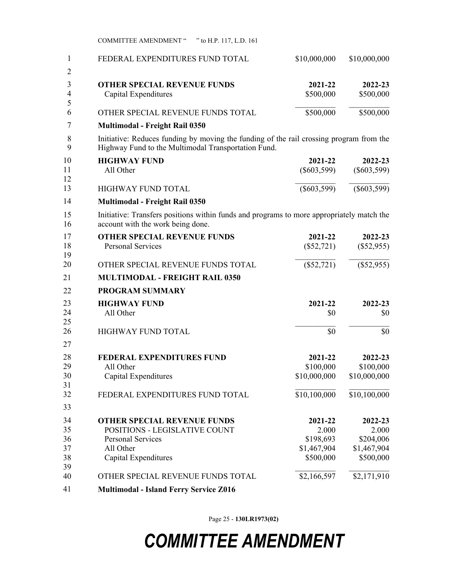| 1<br>$\overline{2}$              | FEDERAL EXPENDITURES FUND TOTAL                                                                                                                                         | \$10,000,000                                              | \$10,000,000                                              |
|----------------------------------|-------------------------------------------------------------------------------------------------------------------------------------------------------------------------|-----------------------------------------------------------|-----------------------------------------------------------|
| 3<br>$\overline{4}$<br>5         | <b>OTHER SPECIAL REVENUE FUNDS</b><br>Capital Expenditures                                                                                                              | 2021-22<br>\$500,000                                      | 2022-23<br>\$500,000                                      |
| 6<br>7                           | OTHER SPECIAL REVENUE FUNDS TOTAL<br><b>Multimodal - Freight Rail 0350</b>                                                                                              | \$500,000                                                 | \$500,000                                                 |
| 8<br>9                           | Initiative: Reduces funding by moving the funding of the rail crossing program from the<br>Highway Fund to the Multimodal Transportation Fund.                          |                                                           |                                                           |
| 10<br>11<br>12                   | <b>HIGHWAY FUND</b><br>All Other                                                                                                                                        | 2021-22<br>$(\$603,599)$                                  | 2022-23<br>$(\$603,599)$                                  |
| 13                               | <b>HIGHWAY FUND TOTAL</b>                                                                                                                                               | $(\$603,599)$                                             | $(\$603,599)$                                             |
| 14<br>15<br>16                   | <b>Multimodal - Freight Rail 0350</b><br>Initiative: Transfers positions within funds and programs to more appropriately match the<br>account with the work being done. |                                                           |                                                           |
| 17<br>18<br>19                   | <b>OTHER SPECIAL REVENUE FUNDS</b><br><b>Personal Services</b>                                                                                                          | 2021-22<br>$(\$52,721)$                                   | 2022-23<br>$(\$52,955)$                                   |
| 20                               | OTHER SPECIAL REVENUE FUNDS TOTAL                                                                                                                                       | $(\$52,721)$                                              | $(\$52,955)$                                              |
| 21                               | <b>MULTIMODAL - FREIGHT RAIL 0350</b>                                                                                                                                   |                                                           |                                                           |
| 22                               | <b>PROGRAM SUMMARY</b>                                                                                                                                                  |                                                           |                                                           |
| 23<br>24<br>25                   | <b>HIGHWAY FUND</b><br>All Other                                                                                                                                        | 2021-22<br>\$0                                            | 2022-23<br>\$0                                            |
| 26<br>27                         | <b>HIGHWAY FUND TOTAL</b>                                                                                                                                               | \$0                                                       | \$0                                                       |
| 28<br>29<br>30<br>31<br>32       | <b>FEDERAL EXPENDITURES FUND</b><br>All Other<br>Capital Expenditures<br>FEDERAL EXPENDITURES FUND TOTAL                                                                | 2021-22<br>\$100,000<br>\$10,000,000<br>\$10,100,000      | 2022-23<br>\$100,000<br>\$10,000,000<br>\$10,100,000      |
| 33                               |                                                                                                                                                                         |                                                           |                                                           |
| 34<br>35<br>36<br>37<br>38<br>39 | <b>OTHER SPECIAL REVENUE FUNDS</b><br>POSITIONS - LEGISLATIVE COUNT<br><b>Personal Services</b><br>All Other<br>Capital Expenditures                                    | 2021-22<br>2.000<br>\$198,693<br>\$1,467,904<br>\$500,000 | 2022-23<br>2.000<br>\$204,006<br>\$1,467,904<br>\$500,000 |
| 40                               | OTHER SPECIAL REVENUE FUNDS TOTAL                                                                                                                                       | \$2,166,597                                               | \$2,171,910                                               |
| 41                               | <b>Multimodal - Island Ferry Service Z016</b>                                                                                                                           |                                                           |                                                           |

Page 25 - **130LR1973(02)**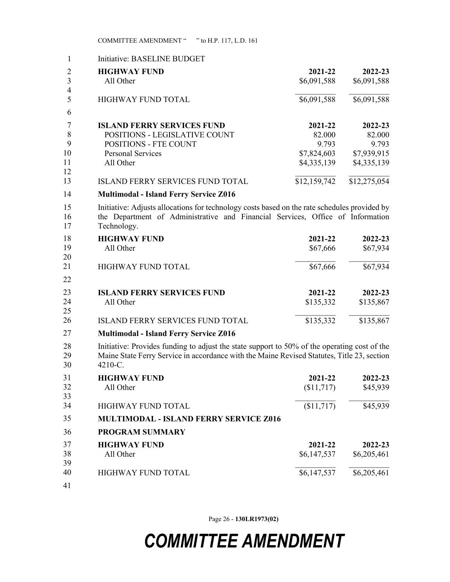| Initiative: BASELINE BUDGET<br>1                                                                                                                                                                                                                                       |                                                          |                                                          |
|------------------------------------------------------------------------------------------------------------------------------------------------------------------------------------------------------------------------------------------------------------------------|----------------------------------------------------------|----------------------------------------------------------|
| $\overline{2}$<br><b>HIGHWAY FUND</b><br>$\overline{3}$<br>All Other                                                                                                                                                                                                   | 2021-22<br>\$6,091,588                                   | 2022-23<br>\$6,091,588                                   |
| $\overline{\mathbf{4}}$<br>5<br>HIGHWAY FUND TOTAL<br>6                                                                                                                                                                                                                | \$6,091,588                                              | \$6,091,588                                              |
| 7<br><b>ISLAND FERRY SERVICES FUND</b><br>8<br>POSITIONS - LEGISLATIVE COUNT<br>9<br>POSITIONS - FTE COUNT<br>10<br><b>Personal Services</b><br>11<br>All Other<br>12                                                                                                  | 2021-22<br>82.000<br>9.793<br>\$7,824,603<br>\$4,335,139 | 2022-23<br>82.000<br>9.793<br>\$7,939,915<br>\$4,335,139 |
| 13<br><b>ISLAND FERRY SERVICES FUND TOTAL</b>                                                                                                                                                                                                                          | \$12,159,742                                             | \$12,275,054                                             |
| 14<br><b>Multimodal - Island Ferry Service Z016</b><br>Initiative: Adjusts allocations for technology costs based on the rate schedules provided by<br>15<br>the Department of Administrative and Financial Services, Office of Information<br>16<br>Technology.<br>17 |                                                          |                                                          |
| 18<br><b>HIGHWAY FUND</b><br>19<br>All Other<br>20                                                                                                                                                                                                                     | 2021-22<br>\$67,666                                      | 2022-23<br>\$67,934                                      |
| 21<br><b>HIGHWAY FUND TOTAL</b>                                                                                                                                                                                                                                        | \$67,666                                                 | \$67,934                                                 |
| 22                                                                                                                                                                                                                                                                     |                                                          |                                                          |
| 23<br><b>ISLAND FERRY SERVICES FUND</b><br>24<br>All Other<br>25                                                                                                                                                                                                       | 2021-22<br>\$135,332                                     | 2022-23<br>\$135,867                                     |
| 26<br><b>ISLAND FERRY SERVICES FUND TOTAL</b>                                                                                                                                                                                                                          | \$135,332                                                | \$135,867                                                |
| 27<br><b>Multimodal - Island Ferry Service Z016</b>                                                                                                                                                                                                                    |                                                          |                                                          |
| Initiative: Provides funding to adjust the state support to 50% of the operating cost of the<br>28<br>Maine State Ferry Service in accordance with the Maine Revised Statutes, Title 23, section<br>29<br>4210-C.<br>30                                                |                                                          |                                                          |
| 31<br><b>HIGHWAY FUND</b>                                                                                                                                                                                                                                              | 2021-22                                                  | 2022-23                                                  |
| 32<br>All Other<br>33                                                                                                                                                                                                                                                  | \$11,717                                                 | \$45,939                                                 |
| 34<br>HIGHWAY FUND TOTAL                                                                                                                                                                                                                                               | (\$11,717)                                               | \$45,939                                                 |
| 35<br><b>MULTIMODAL - ISLAND FERRY SERVICE Z016</b>                                                                                                                                                                                                                    |                                                          |                                                          |
| <b>PROGRAM SUMMARY</b><br>36                                                                                                                                                                                                                                           |                                                          |                                                          |
| 37<br><b>HIGHWAY FUND</b><br>38<br>All Other<br>39                                                                                                                                                                                                                     | 2021-22<br>\$6,147,537                                   | 2022-23<br>\$6,205,461                                   |
| 40<br>HIGHWAY FUND TOTAL<br>41                                                                                                                                                                                                                                         | \$6,147,537                                              | \$6,205,461                                              |

Page 26 - **130LR1973(02)**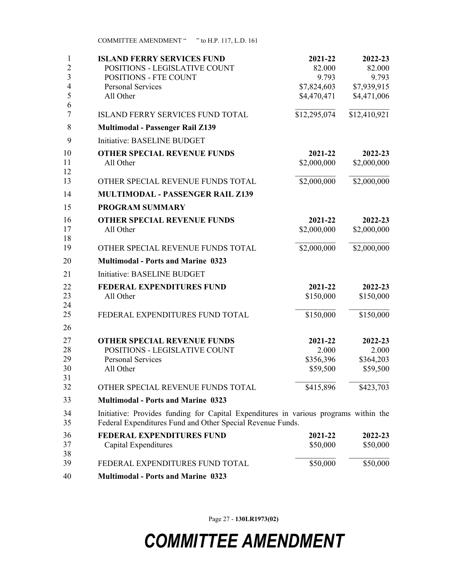| 1<br>$\overline{2}$      | <b>ISLAND FERRY SERVICES FUND</b><br>POSITIONS - LEGISLATIVE COUNT                                                                                 | 2021-22<br>82.000      | 2022-23<br>82.000      |
|--------------------------|----------------------------------------------------------------------------------------------------------------------------------------------------|------------------------|------------------------|
| $\mathfrak{Z}$           | POSITIONS - FTE COUNT                                                                                                                              | 9.793                  | 9.793                  |
| $\overline{\mathcal{A}}$ | Personal Services                                                                                                                                  | \$7,824,603            | \$7,939,915            |
| 5                        | All Other                                                                                                                                          | \$4,470,471            | \$4,471,006            |
| 6<br>$\tau$              | <b>ISLAND FERRY SERVICES FUND TOTAL</b>                                                                                                            | \$12,295,074           | \$12,410,921           |
| 8                        | <b>Multimodal - Passenger Rail Z139</b>                                                                                                            |                        |                        |
| 9                        | Initiative: BASELINE BUDGET                                                                                                                        |                        |                        |
| 10<br>11<br>12           | <b>OTHER SPECIAL REVENUE FUNDS</b><br>All Other                                                                                                    | 2021-22<br>\$2,000,000 | 2022-23<br>\$2,000,000 |
| 13                       | OTHER SPECIAL REVENUE FUNDS TOTAL                                                                                                                  | \$2,000,000            | \$2,000,000            |
| 14                       | <b>MULTIMODAL - PASSENGER RAIL Z139</b>                                                                                                            |                        |                        |
| 15                       | <b>PROGRAM SUMMARY</b>                                                                                                                             |                        |                        |
| 16                       | <b>OTHER SPECIAL REVENUE FUNDS</b>                                                                                                                 | 2021-22                | 2022-23                |
| 17                       | All Other                                                                                                                                          | \$2,000,000            | \$2,000,000            |
| 18<br>19                 | OTHER SPECIAL REVENUE FUNDS TOTAL                                                                                                                  | \$2,000,000            | \$2,000,000            |
| 20                       | <b>Multimodal - Ports and Marine 0323</b>                                                                                                          |                        |                        |
| 21                       | Initiative: BASELINE BUDGET                                                                                                                        |                        |                        |
| 22                       | <b>FEDERAL EXPENDITURES FUND</b>                                                                                                                   | 2021-22                | 2022-23                |
| 23                       | All Other                                                                                                                                          | \$150,000              | \$150,000              |
| 24<br>25                 | FEDERAL EXPENDITURES FUND TOTAL                                                                                                                    | \$150,000              | \$150,000              |
| 26                       |                                                                                                                                                    |                        |                        |
| 27                       | <b>OTHER SPECIAL REVENUE FUNDS</b>                                                                                                                 | 2021-22                | 2022-23                |
| 28                       | POSITIONS - LEGISLATIVE COUNT                                                                                                                      | 2.000                  | 2.000                  |
| 29                       | Personal Services                                                                                                                                  | \$356,396              | \$364,203              |
| 30<br>31                 | All Other                                                                                                                                          | \$59,500               | \$59,500               |
| 32                       | OTHER SPECIAL REVENUE FUNDS TOTAL                                                                                                                  | \$415,896              | \$423,703              |
| 33                       | <b>Multimodal - Ports and Marine 0323</b>                                                                                                          |                        |                        |
| 34<br>35                 | Initiative: Provides funding for Capital Expenditures in various programs within the<br>Federal Expenditures Fund and Other Special Revenue Funds. |                        |                        |
| 36                       | <b>FEDERAL EXPENDITURES FUND</b>                                                                                                                   | 2021-22                | 2022-23                |
| 37<br>38                 | Capital Expenditures                                                                                                                               | \$50,000               | \$50,000               |
| 39                       | FEDERAL EXPENDITURES FUND TOTAL                                                                                                                    | \$50,000               | \$50,000               |
| 40                       | <b>Multimodal - Ports and Marine 0323</b>                                                                                                          |                        |                        |
|                          |                                                                                                                                                    |                        |                        |

Page 27 - **130LR1973(02)**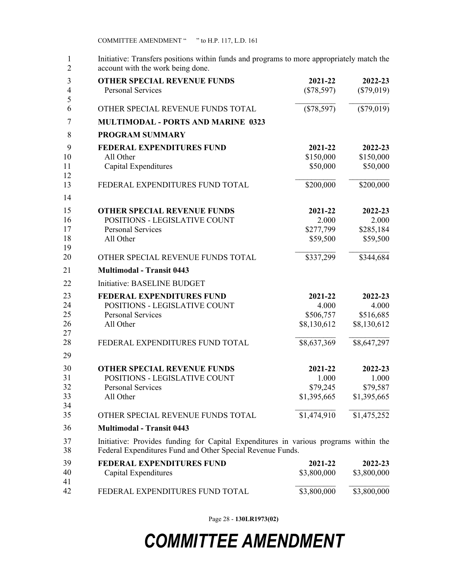1 Initiative: Transfers positions within funds and programs to more appropriately match the 2 account with the work being done.

| 3<br>$\overline{4}$ | <b>OTHER SPECIAL REVENUE FUNDS</b><br><b>Personal Services</b>                                                                                     | 2021-22      | 2022-23      |
|---------------------|----------------------------------------------------------------------------------------------------------------------------------------------------|--------------|--------------|
| 5                   |                                                                                                                                                    | $(\$78,597)$ | $(\$79,019)$ |
| 6                   | OTHER SPECIAL REVENUE FUNDS TOTAL                                                                                                                  | $(\$78,597)$ | $(\$79,019)$ |
| $\tau$              | <b>MULTIMODAL - PORTS AND MARINE 0323</b>                                                                                                          |              |              |
| 8                   | <b>PROGRAM SUMMARY</b>                                                                                                                             |              |              |
| 9                   | <b>FEDERAL EXPENDITURES FUND</b>                                                                                                                   | 2021-22      | 2022-23      |
| 10                  | All Other                                                                                                                                          | \$150,000    | \$150,000    |
| 11                  | Capital Expenditures                                                                                                                               | \$50,000     | \$50,000     |
| 12                  |                                                                                                                                                    |              |              |
| 13                  | FEDERAL EXPENDITURES FUND TOTAL                                                                                                                    | \$200,000    | \$200,000    |
| 14                  |                                                                                                                                                    |              |              |
| 15                  | <b>OTHER SPECIAL REVENUE FUNDS</b>                                                                                                                 | 2021-22      | 2022-23      |
| 16                  | POSITIONS - LEGISLATIVE COUNT                                                                                                                      | 2.000        | 2.000        |
| 17                  | <b>Personal Services</b>                                                                                                                           | \$277,799    | \$285,184    |
| 18                  | All Other                                                                                                                                          | \$59,500     | \$59,500     |
| 19                  |                                                                                                                                                    |              |              |
| 20                  | OTHER SPECIAL REVENUE FUNDS TOTAL                                                                                                                  | \$337,299    | \$344,684    |
| 21                  | <b>Multimodal - Transit 0443</b>                                                                                                                   |              |              |
| 22                  | Initiative: BASELINE BUDGET                                                                                                                        |              |              |
| 23                  | <b>FEDERAL EXPENDITURES FUND</b>                                                                                                                   | 2021-22      | 2022-23      |
| 24                  | POSITIONS - LEGISLATIVE COUNT                                                                                                                      | 4.000        | 4.000        |
| 25                  | <b>Personal Services</b>                                                                                                                           | \$506,757    | \$516,685    |
| 26                  | All Other                                                                                                                                          | \$8,130,612  | \$8,130,612  |
| 27                  |                                                                                                                                                    |              |              |
| 28                  | FEDERAL EXPENDITURES FUND TOTAL                                                                                                                    | \$8,637,369  | \$8,647,297  |
| 29                  |                                                                                                                                                    |              |              |
| 30                  | <b>OTHER SPECIAL REVENUE FUNDS</b>                                                                                                                 | 2021-22      | 2022-23      |
| 31                  | POSITIONS - LEGISLATIVE COUNT                                                                                                                      | 1.000        | 1.000        |
| 32                  | <b>Personal Services</b>                                                                                                                           | \$79,245     | \$79,587     |
| 33                  | All Other                                                                                                                                          | \$1,395,665  | \$1,395,665  |
| 34                  |                                                                                                                                                    |              |              |
| 35                  | OTHER SPECIAL REVENUE FUNDS TOTAL                                                                                                                  | \$1,474,910  | \$1,475,252  |
| 36                  | <b>Multimodal - Transit 0443</b>                                                                                                                   |              |              |
| 37<br>38            | Initiative: Provides funding for Capital Expenditures in various programs within the<br>Federal Expenditures Fund and Other Special Revenue Funds. |              |              |
| 39                  | <b>FEDERAL EXPENDITURES FUND</b>                                                                                                                   | 2021-22      | 2022-23      |
| 40                  | Capital Expenditures                                                                                                                               | \$3,800,000  | \$3,800,000  |
| 41                  |                                                                                                                                                    |              |              |
| 42                  | FEDERAL EXPENDITURES FUND TOTAL                                                                                                                    | \$3,800,000  | \$3,800,000  |

Page 28 - **130LR1973(02)**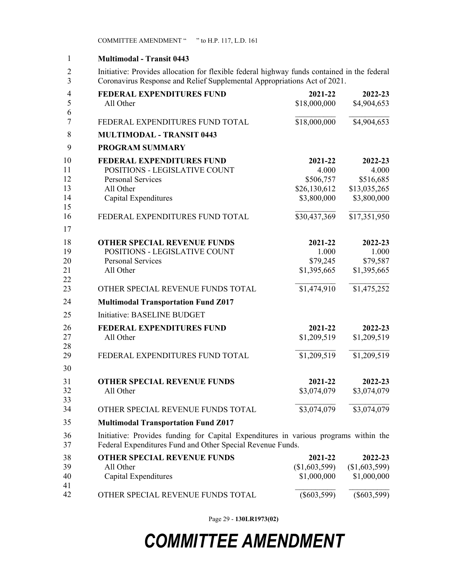#### 1 **Multimodal - Transit 0443** 1

2 Initiative: Provides allocation for flexible federal highway funds contained in the federal 3 Coronavirus Response and Relief Supplemental Appropriations Act of 2021.

| 4<br>5         | FEDERAL EXPENDITURES FUND<br>All Other                                                                                                             | 2021-22<br>\$18,000,000 | 2022-23<br>\$4,904,653 |
|----------------|----------------------------------------------------------------------------------------------------------------------------------------------------|-------------------------|------------------------|
| 6              |                                                                                                                                                    |                         |                        |
| $\overline{7}$ | FEDERAL EXPENDITURES FUND TOTAL                                                                                                                    | \$18,000,000            | \$4,904,653            |
| 8              | <b>MULTIMODAL - TRANSIT 0443</b>                                                                                                                   |                         |                        |
| 9              | <b>PROGRAM SUMMARY</b>                                                                                                                             |                         |                        |
| 10             | <b>FEDERAL EXPENDITURES FUND</b>                                                                                                                   | 2021-22                 | 2022-23                |
| 11             | POSITIONS - LEGISLATIVE COUNT                                                                                                                      | 4.000                   | 4.000                  |
| 12             | <b>Personal Services</b>                                                                                                                           | \$506,757               | \$516,685              |
| 13             | All Other                                                                                                                                          | \$26,130,612            | \$13,035,265           |
| 14             | Capital Expenditures                                                                                                                               | \$3,800,000             | \$3,800,000            |
| 15             |                                                                                                                                                    |                         |                        |
| 16             | FEDERAL EXPENDITURES FUND TOTAL                                                                                                                    | \$30,437,369            | \$17,351,950           |
| 17             |                                                                                                                                                    |                         |                        |
| 18             | <b>OTHER SPECIAL REVENUE FUNDS</b>                                                                                                                 | 2021-22                 | 2022-23                |
| 19             | POSITIONS - LEGISLATIVE COUNT                                                                                                                      | 1.000                   | 1.000                  |
| 20             | <b>Personal Services</b>                                                                                                                           | \$79,245                | \$79,587               |
| 21             | All Other                                                                                                                                          | \$1,395,665             | \$1,395,665            |
| 22             |                                                                                                                                                    |                         |                        |
| 23             | OTHER SPECIAL REVENUE FUNDS TOTAL                                                                                                                  | \$1,474,910             | \$1,475,252            |
| 24             | <b>Multimodal Transportation Fund Z017</b>                                                                                                         |                         |                        |
| 25             | Initiative: BASELINE BUDGET                                                                                                                        |                         |                        |
| 26             | <b>FEDERAL EXPENDITURES FUND</b>                                                                                                                   | 2021-22                 | 2022-23                |
| 27             | All Other                                                                                                                                          | \$1,209,519             | \$1,209,519            |
| 28             |                                                                                                                                                    |                         |                        |
| 29             | FEDERAL EXPENDITURES FUND TOTAL                                                                                                                    | \$1,209,519             | \$1,209,519            |
| 30             |                                                                                                                                                    |                         |                        |
| 31             | <b>OTHER SPECIAL REVENUE FUNDS</b>                                                                                                                 | 2021-22                 | 2022-23                |
| 32             | All Other                                                                                                                                          | \$3,074,079             | \$3,074,079            |
| 33             |                                                                                                                                                    |                         |                        |
| 34             | OTHER SPECIAL REVENUE FUNDS TOTAL                                                                                                                  | \$3,074,079             | \$3,074,079            |
| 35             | <b>Multimodal Transportation Fund Z017</b>                                                                                                         |                         |                        |
| 36<br>37       | Initiative: Provides funding for Capital Expenditures in various programs within the<br>Federal Expenditures Fund and Other Special Revenue Funds. |                         |                        |
| 38             | <b>OTHER SPECIAL REVENUE FUNDS</b>                                                                                                                 | 2021-22                 | 2022-23                |
| 39             | All Other                                                                                                                                          | (\$1,603,599)           | (\$1,603,599)          |
| 40             | Capital Expenditures                                                                                                                               | \$1,000,000             | \$1,000,000            |

 $\_$ OTHER SPECIAL REVENUE FUNDS TOTAL  $(\$603,599)$   $(\$603,599)$ 41 42

Page 29 - **130LR1973(02)**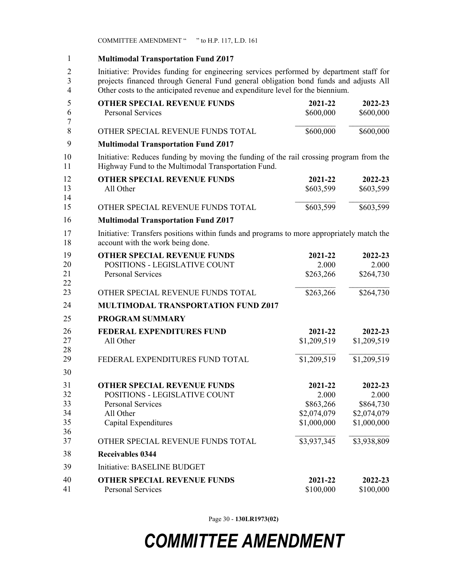#### 1 **Multimodal Transportation Fund Z017** 1

2 Initiative: Provides funding for engineering services performed by department staff for 3 projects financed through General Fund general obligation bond funds and adjusts All 4 Other costs to the anticipated revenue and expenditure level for the biennium.

| 5<br>6         | <b>OTHER SPECIAL REVENUE FUNDS</b><br>Personal Services                                                                                        | 2021-22<br>\$600,000 | 2022-23<br>\$600,000 |
|----------------|------------------------------------------------------------------------------------------------------------------------------------------------|----------------------|----------------------|
| $\tau$<br>8    | OTHER SPECIAL REVENUE FUNDS TOTAL                                                                                                              | \$600,000            | \$600,000            |
| 9              | <b>Multimodal Transportation Fund Z017</b>                                                                                                     |                      |                      |
| 10<br>11       | Initiative: Reduces funding by moving the funding of the rail crossing program from the<br>Highway Fund to the Multimodal Transportation Fund. |                      |                      |
| 12<br>13<br>14 | <b>OTHER SPECIAL REVENUE FUNDS</b><br>All Other                                                                                                | 2021-22<br>\$603,599 | 2022-23<br>\$603,599 |
| 15             | OTHER SPECIAL REVENUE FUNDS TOTAL                                                                                                              | \$603,599            | \$603,599            |
| 16             | <b>Multimodal Transportation Fund Z017</b>                                                                                                     |                      |                      |
| 17<br>18       | Initiative: Transfers positions within funds and programs to more appropriately match the<br>account with the work being done.                 |                      |                      |
| 19             | <b>OTHER SPECIAL REVENUE FUNDS</b>                                                                                                             | 2021-22              | 2022-23              |
| 20             | POSITIONS - LEGISLATIVE COUNT                                                                                                                  | 2.000                | 2.000                |
| 21             | <b>Personal Services</b>                                                                                                                       | \$263,266            | \$264,730            |
| 22<br>23       | OTHER SPECIAL REVENUE FUNDS TOTAL                                                                                                              | \$263,266            | \$264,730            |
| 24             | <b>MULTIMODAL TRANSPORTATION FUND Z017</b>                                                                                                     |                      |                      |
| 25             | <b>PROGRAM SUMMARY</b>                                                                                                                         |                      |                      |
| 26             | <b>FEDERAL EXPENDITURES FUND</b>                                                                                                               | 2021-22              | 2022-23              |
| 27             | All Other                                                                                                                                      | \$1,209,519          | \$1,209,519          |
| 28<br>29       | FEDERAL EXPENDITURES FUND TOTAL                                                                                                                | \$1,209,519          | \$1,209,519          |
| 30             |                                                                                                                                                |                      |                      |
| 31<br>32       | <b>OTHER SPECIAL REVENUE FUNDS</b><br>POSITIONS - LEGISLATIVE COUNT                                                                            | 2021-22<br>2.000     | 2022-23<br>2.000     |
| 33             | <b>Personal Services</b>                                                                                                                       | \$863,266            | \$864,730            |
| 34             | All Other                                                                                                                                      | \$2,074,079          | \$2,074,079          |
| 35             | Capital Expenditures                                                                                                                           | \$1,000,000          | \$1,000,000          |
| 36<br>37       | OTHER SPECIAL REVENUE FUNDS TOTAL                                                                                                              | \$3,937,345          | \$3,938,809          |
| 38             | <b>Receivables 0344</b>                                                                                                                        |                      |                      |
| 39             | Initiative: BASELINE BUDGET                                                                                                                    |                      |                      |
| 40<br>41       | <b>OTHER SPECIAL REVENUE FUNDS</b><br>Personal Services                                                                                        | 2021-22<br>\$100,000 | 2022-23<br>\$100,000 |

Page 30 - **130LR1973(02)**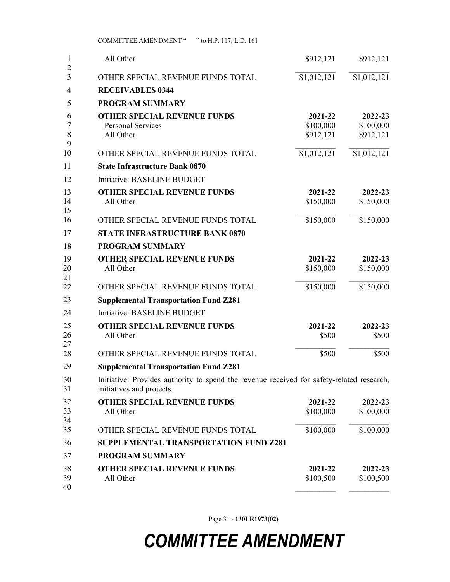| $\mathbf{1}$<br>$\overline{2}$ | All Other                                                                                                              | \$912,121   | \$912,121   |
|--------------------------------|------------------------------------------------------------------------------------------------------------------------|-------------|-------------|
| 3                              | OTHER SPECIAL REVENUE FUNDS TOTAL                                                                                      | \$1,012,121 | \$1,012,121 |
| $\overline{4}$                 | <b>RECEIVABLES 0344</b>                                                                                                |             |             |
| 5                              | <b>PROGRAM SUMMARY</b>                                                                                                 |             |             |
| 6                              | <b>OTHER SPECIAL REVENUE FUNDS</b>                                                                                     | 2021-22     | 2022-23     |
| 7                              | <b>Personal Services</b>                                                                                               | \$100,000   | \$100,000   |
| 8<br>9                         | All Other                                                                                                              | \$912,121   | \$912,121   |
| 10                             | OTHER SPECIAL REVENUE FUNDS TOTAL                                                                                      | \$1,012,121 | \$1,012,121 |
| 11                             | <b>State Infrastructure Bank 0870</b>                                                                                  |             |             |
| 12                             | Initiative: BASELINE BUDGET                                                                                            |             |             |
| 13                             | <b>OTHER SPECIAL REVENUE FUNDS</b>                                                                                     | 2021-22     | 2022-23     |
| 14                             | All Other                                                                                                              | \$150,000   | \$150,000   |
| 15<br>16                       | OTHER SPECIAL REVENUE FUNDS TOTAL                                                                                      | \$150,000   | \$150,000   |
| 17                             | <b>STATE INFRASTRUCTURE BANK 0870</b>                                                                                  |             |             |
| 18                             | <b>PROGRAM SUMMARY</b>                                                                                                 |             |             |
| 19                             | <b>OTHER SPECIAL REVENUE FUNDS</b>                                                                                     | 2021-22     | $2022 - 23$ |
| 20                             | All Other                                                                                                              | \$150,000   | \$150,000   |
| 21                             |                                                                                                                        |             |             |
| 22                             | OTHER SPECIAL REVENUE FUNDS TOTAL                                                                                      | \$150,000   | \$150,000   |
| 23                             | <b>Supplemental Transportation Fund Z281</b>                                                                           |             |             |
| 24                             | Initiative: BASELINE BUDGET                                                                                            |             |             |
| 25                             | <b>OTHER SPECIAL REVENUE FUNDS</b>                                                                                     | 2021-22     | 2022-23     |
| 26<br>27                       | All Other                                                                                                              | \$500       | \$500       |
| 28                             | OTHER SPECIAL REVENUE FUNDS TOTAL                                                                                      | \$500       | \$500       |
| 29                             | <b>Supplemental Transportation Fund Z281</b>                                                                           |             |             |
| 30<br>31                       | Initiative: Provides authority to spend the revenue received for safety-related research,<br>initiatives and projects. |             |             |
| 32                             | <b>OTHER SPECIAL REVENUE FUNDS</b>                                                                                     | 2021-22     | 2022-23     |
| 33                             | All Other                                                                                                              | \$100,000   | \$100,000   |
| 34<br>35                       | OTHER SPECIAL REVENUE FUNDS TOTAL                                                                                      | \$100,000   | \$100,000   |
| 36                             | <b>SUPPLEMENTAL TRANSPORTATION FUND Z281</b>                                                                           |             |             |
| 37                             | <b>PROGRAM SUMMARY</b>                                                                                                 |             |             |
| 38                             | <b>OTHER SPECIAL REVENUE FUNDS</b>                                                                                     | 2021-22     | 2022-23     |
| 39                             | All Other                                                                                                              | \$100,500   | \$100,500   |
| 40                             |                                                                                                                        |             |             |

Page 31 - **130LR1973(02)**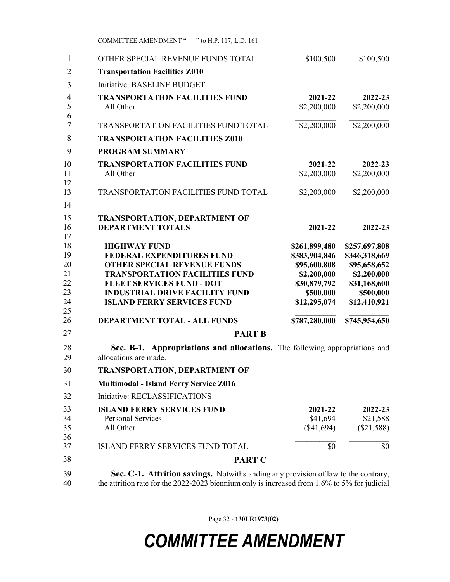| OTHER SPECIAL REVENUE FUNDS TOTAL                                                                                                                                                                                                                 | \$100,500                                                                                                  | \$100,500                                                                                                  |
|---------------------------------------------------------------------------------------------------------------------------------------------------------------------------------------------------------------------------------------------------|------------------------------------------------------------------------------------------------------------|------------------------------------------------------------------------------------------------------------|
| <b>Transportation Facilities Z010</b>                                                                                                                                                                                                             |                                                                                                            |                                                                                                            |
| Initiative: BASELINE BUDGET                                                                                                                                                                                                                       |                                                                                                            |                                                                                                            |
| <b>TRANSPORTATION FACILITIES FUND</b><br>All Other                                                                                                                                                                                                | 2021-22<br>\$2,200,000                                                                                     | 2022-23<br>\$2,200,000                                                                                     |
| TRANSPORTATION FACILITIES FUND TOTAL                                                                                                                                                                                                              | \$2,200,000                                                                                                | \$2,200,000                                                                                                |
| <b>TRANSPORTATION FACILITIES Z010</b>                                                                                                                                                                                                             |                                                                                                            |                                                                                                            |
| <b>PROGRAM SUMMARY</b>                                                                                                                                                                                                                            |                                                                                                            |                                                                                                            |
| <b>TRANSPORTATION FACILITIES FUND</b><br>All Other                                                                                                                                                                                                | 2021-22<br>\$2,200,000                                                                                     | 2022-23<br>\$2,200,000                                                                                     |
| <b>TRANSPORTATION FACILITIES FUND TOTAL</b>                                                                                                                                                                                                       | \$2,200,000                                                                                                | \$2,200,000                                                                                                |
| <b>TRANSPORTATION, DEPARTMENT OF</b><br><b>DEPARTMENT TOTALS</b>                                                                                                                                                                                  | 2021-22                                                                                                    | 2022-23                                                                                                    |
| <b>HIGHWAY FUND</b><br>FEDERAL EXPENDITURES FUND<br><b>OTHER SPECIAL REVENUE FUNDS</b><br><b>TRANSPORTATION FACILITIES FUND</b><br><b>FLEET SERVICES FUND - DOT</b><br><b>INDUSTRIAL DRIVE FACILITY FUND</b><br><b>ISLAND FERRY SERVICES FUND</b> | \$261,899,480<br>\$383,904,846<br>\$95,600,808<br>\$2,200,000<br>\$30,879,792<br>\$500,000<br>\$12,295,074 | \$257,697,808<br>\$346,318,669<br>\$95,658,652<br>\$2,200,000<br>\$31,168,600<br>\$500,000<br>\$12,410,921 |
| <b>DEPARTMENT TOTAL - ALL FUNDS</b>                                                                                                                                                                                                               | \$787,280,000                                                                                              | \$745,954,650                                                                                              |
| <b>PART B</b>                                                                                                                                                                                                                                     |                                                                                                            |                                                                                                            |
| Sec. B-1. Appropriations and allocations. The following appropriations and<br>allocations are made.                                                                                                                                               |                                                                                                            |                                                                                                            |
| TRANSPORTATION, DEPARTMENT OF                                                                                                                                                                                                                     |                                                                                                            |                                                                                                            |
| <b>Multimodal - Island Ferry Service Z016</b>                                                                                                                                                                                                     |                                                                                                            |                                                                                                            |
| Initiative: RECLASSIFICATIONS                                                                                                                                                                                                                     |                                                                                                            |                                                                                                            |
| <b>ISLAND FERRY SERVICES FUND</b><br>Personal Services                                                                                                                                                                                            | 2021-22<br>\$41,694                                                                                        | 2022-23<br>\$21,588                                                                                        |
| All Other                                                                                                                                                                                                                                         | (\$41,694)                                                                                                 | $(\$21,588)$                                                                                               |
|                                                                                                                                                                                                                                                   |                                                                                                            |                                                                                                            |
| <b>ISLAND FERRY SERVICES FUND TOTAL</b>                                                                                                                                                                                                           | \$0                                                                                                        | \$0                                                                                                        |

Page 32 - **130LR1973(02)**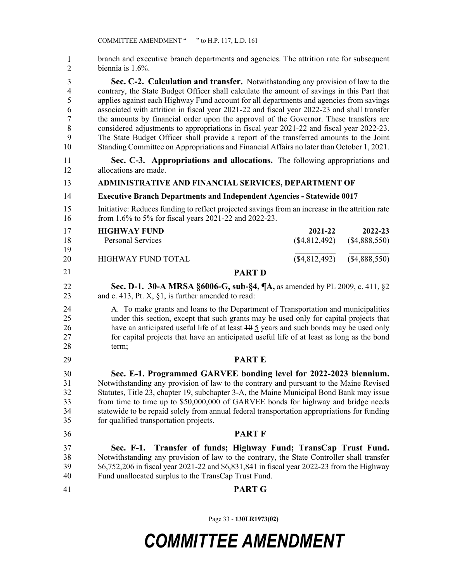41 branch and executive branch departments and agencies. The attrition rate for subsequent biennia is 1.6%. 3 **Sec. C-2. Calculation and transfer.** Notwithstanding any provision of law to the 4 contrary, the State Budget Officer shall calculate the amount of savings in this Part that 5 applies against each Highway Fund account for all departments and agencies from savings 6 associated with attrition in fiscal year 2021-22 and fiscal year 2022-23 and shall transfer 7 the amounts by financial order upon the approval of the Governor. These transfers are 8 considered adjustments to appropriations in fiscal year 2021-22 and fiscal year 2022-23. 9 The State Budget Officer shall provide a report of the transferred amounts to the Joint 10 Standing Committee on Appropriations and Financial Affairs no later than October 1, 2021. 11 **Sec. C-3. Appropriations and allocations.** The following appropriations and 12 allocations are made. 13 **ADMINISTRATIVE AND FINANCIAL SERVICES, DEPARTMENT OF** 14 **Executive Branch Departments and Independent Agencies - Statewide 0017** 15 Initiative: Reduces funding to reflect projected savings from an increase in the attrition rate 16 from 1.6% to 5% for fiscal years 2021-22 and 2022-23. **HIGHWAY FUND 2021-22 2022-23** Personal Services (\$4,812,492) (\$4,888,550)  $\_$ HIGHWAY FUND TOTAL (\$4,812,492) (\$4,888,550) 17 **PART D** 22 **Sec. D-1. 30-A MRSA §6006-G, sub-§4, ¶A,** as amended by PL 2009, c. 411, §2 23 and c. 413, Pt. X, §1, is further amended to read: 24 A. To make grants and loans to the Department of Transportation and municipalities 25 under this section, except that such grants may be used only for capital projects that 26 have an anticipated useful life of at least  $10\frac{1}{2}$  years and such bonds may be used only 27 for capital projects that have an anticipated useful life of at least as long as the bond 28 term; 29 **PART E** 30 **Sec. E-1. Programmed GARVEE bonding level for 2022-2023 biennium.** 31 Notwithstanding any provision of law to the contrary and pursuant to the Maine Revised 32 Statutes, Title 23, chapter 19, subchapter 3-A, the Maine Municipal Bond Bank may issue 33 from time to time up to \$50,000,000 of GARVEE bonds for highway and bridge needs 34 statewide to be repaid solely from annual federal transportation appropriations for funding 35 for qualified transportation projects. 36 **PART F** 37 **Sec. F-1. Transfer of funds; Highway Fund; TransCap Trust Fund.** 38 Notwithstanding any provision of law to the contrary, the State Controller shall transfer 39 \$6,752,206 in fiscal year 2021-22 and \$6,831,841 in fiscal year 2022-23 from the Highway 40 Fund unallocated surplus to the TransCap Trust Fund. 41 **PART G** 1 2 17 18 19 20 21

Page 33 - **130LR1973(02)**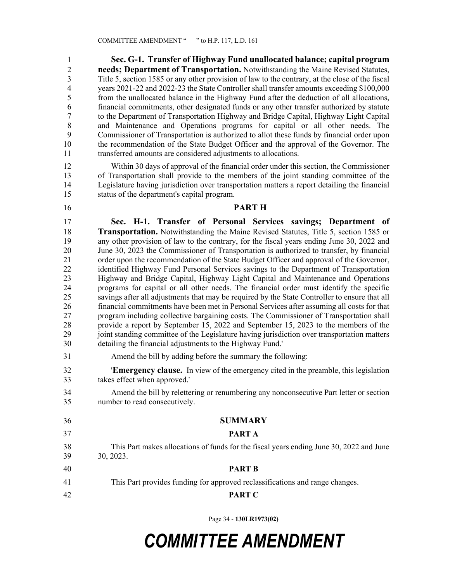1 **Sec. G-1. Transfer of Highway Fund unallocated balance; capital program**  2 **needs; Department of Transportation.** Notwithstanding the Maine Revised Statutes, 3 Title 5, section 1585 or any other provision of law to the contrary, at the close of the fiscal 4 years 2021-22 and 2022-23 the State Controller shall transfer amounts exceeding \$100,000 5 from the unallocated balance in the Highway Fund after the deduction of all allocations, 6 financial commitments, other designated funds or any other transfer authorized by statute 7 to the Department of Transportation Highway and Bridge Capital, Highway Light Capital 8 and Maintenance and Operations programs for capital or all other needs. The 9 Commissioner of Transportation is authorized to allot these funds by financial order upon 10 the recommendation of the State Budget Officer and the approval of the Governor. The 11 transferred amounts are considered adjustments to allocations.

12 Within 30 days of approval of the financial order under this section, the Commissioner 13 of Transportation shall provide to the members of the joint standing committee of the 14 Legislature having jurisdiction over transportation matters a report detailing the financial 15 status of the department's capital program.

- 
- 16 **PART H**

17 **Sec. H-1. Transfer of Personal Services savings; Department of**  18 **Transportation.** Notwithstanding the Maine Revised Statutes, Title 5, section 1585 or 19 any other provision of law to the contrary, for the fiscal years ending June 30, 2022 and 20 June 30, 2023 the Commissioner of Transportation is authorized to transfer, by financial 21 order upon the recommendation of the State Budget Officer and approval of the Governor, 22 identified Highway Fund Personal Services savings to the Department of Transportation 23 Highway and Bridge Capital, Highway Light Capital and Maintenance and Operations 24 programs for capital or all other needs. The financial order must identify the specific 25 savings after all adjustments that may be required by the State Controller to ensure that all 26 financial commitments have been met in Personal Services after assuming all costs for that 27 program including collective bargaining costs. The Commissioner of Transportation shall 28 provide a report by September 15, 2022 and September 15, 2023 to the members of the 29 joint standing committee of the Legislature having jurisdiction over transportation matters 30 detailing the financial adjustments to the Highway Fund.'

31 Amend the bill by adding before the summary the following:

32 '**Emergency clause.** In view of the emergency cited in the preamble, this legislation 33 takes effect when approved.'

34 Amend the bill by relettering or renumbering any nonconsecutive Part letter or section 35 number to read consecutively.

36 **SUMMARY** 37 **PART A** 38 This Part makes allocations of funds for the fiscal years ending June 30, 2022 and June 39 30, 2023. 40 **PART B** 41 This Part provides funding for approved reclassifications and range changes. 42 **PART C**

Page 34 - **130LR1973(02)**